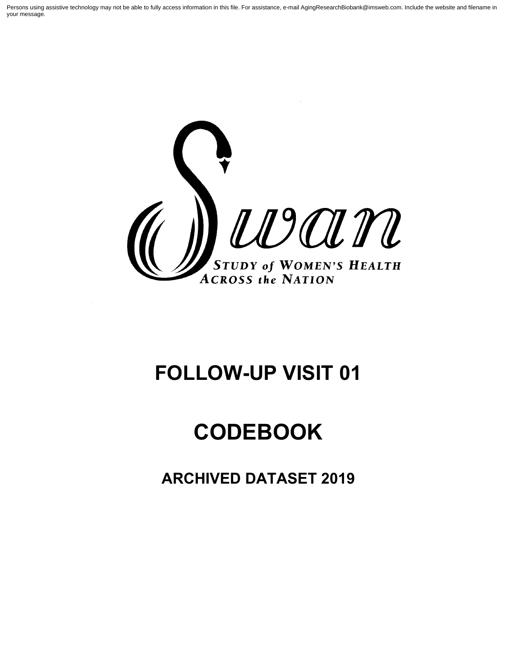Persons using assistive technology may not be able to fully access information in this file. For assistance, e-mail AgingResearchBiobank@imsweb.com. Include the website and filename in your message.



# **FOLLOW-UP VISIT 01**

# **CODEBOOK**

**ARCHIVED DATASET 2019**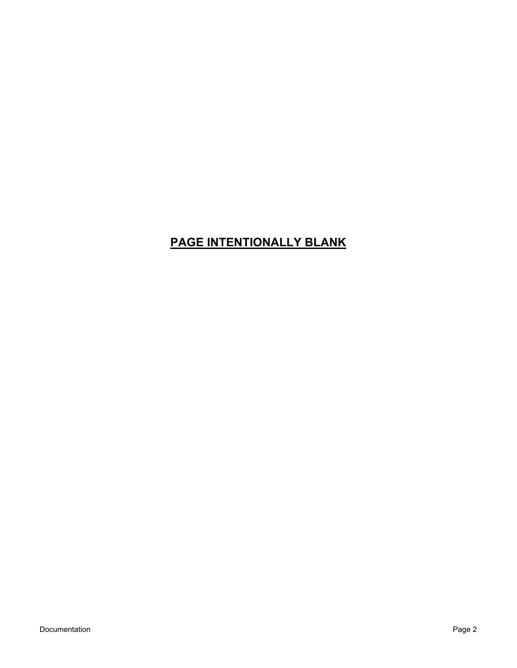## **PAGE INTENTIONALLY BLANK**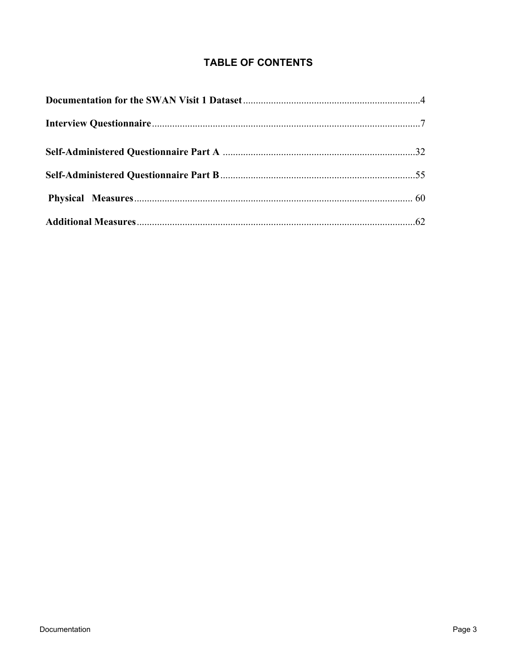### **TABLE OF CONTENTS**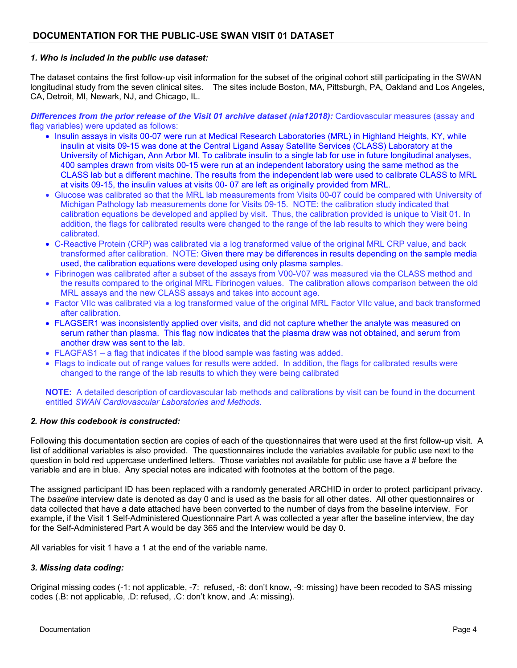### *1. Who is included in the public use dataset:*

The dataset contains the first follow-up visit information for the subset of the original cohort still participating in the SWAN longitudinal study from the seven clinical sites. The sites include Boston, MA, Pittsburgh, PA, Oakland and Los Angeles, CA, Detroit, MI, Newark, NJ, and Chicago, IL.

*Differences from the prior release of the Visit 01 archive dataset (nia12018):* Cardiovascular measures (assay and flag variables) were updated as follows:

- Insulin assays in visits 00-07 were run at Medical Research Laboratories (MRL) in Highland Heights, KY, while insulin at visits 09-15 was done at the Central Ligand Assay Satellite Services (CLASS) Laboratory at the University of Michigan, Ann Arbor MI. To calibrate insulin to a single lab for use in future longitudinal analyses, 400 samples drawn from visits 00-15 were run at an independent laboratory using the same method as the CLASS lab but a different machine. The results from the independent lab were used to calibrate CLASS to MRL at visits 09-15, the insulin values at visits 00- 07 are left as originally provided from MRL.
- Glucose was calibrated so that the MRL lab measurements from Visits 00-07 could be compared with University of Michigan Pathology lab measurements done for Visits 09-15. NOTE: the calibration study indicated that calibration equations be developed and applied by visit. Thus, the calibration provided is unique to Visit 01. In addition, the flags for calibrated results were changed to the range of the lab results to which they were being calibrated.
- C-Reactive Protein (CRP) was calibrated via a log transformed value of the original MRL CRP value, and back transformed after calibration. NOTE: Given there may be differences in results depending on the sample media used, the calibration equations were developed using only plasma samples.
- Fibrinogen was calibrated after a subset of the assays from V00-V07 was measured via the CLASS method and the results compared to the original MRL Fibrinogen values. The calibration allows comparison between the old MRL assays and the new CLASS assays and takes into account age.
- Factor VIIc was calibrated via a log transformed value of the original MRL Factor VIIc value, and back transformed after calibration.
- FLAGSER1 was inconsistently applied over visits, and did not capture whether the analyte was measured on serum rather than plasma. This flag now indicates that the plasma draw was not obtained, and serum from another draw was sent to the lab.
- FLAGFAS1 a flag that indicates if the blood sample was fasting was added.
- Flags to indicate out of range values for results were added. In addition, the flags for calibrated results were changed to the range of the lab results to which they were being calibrated

**NOTE:** A detailed description of cardiovascular lab methods and calibrations by visit can be found in the document entitled *SWAN Cardiovascular Laboratories and Methods*.

### *2. How this codebook is constructed:*

Following this documentation section are copies of each of the questionnaires that were used at the first follow-up visit. A list of additional variables is also provided. The questionnaires include the variables available for public use next to the question in bold red uppercase underlined letters. Those variables not available for public use have a # before the variable and are in blue. Any special notes are indicated with footnotes at the bottom of the page.

The assigned participant ID has been replaced with a randomly generated ARCHID in order to protect participant privacy. The *baseline* interview date is denoted as day 0 and is used as the basis for all other dates. All other questionnaires or data collected that have a date attached have been converted to the number of days from the baseline interview. For example, if the Visit 1 Self-Administered Questionnaire Part A was collected a year after the baseline interview, the day for the Self-Administered Part A would be day 365 and the Interview would be day 0.

All variables for visit 1 have a 1 at the end of the variable name.

### *3. Missing data coding:*

Original missing codes (-1: not applicable, -7: refused, -8: don't know, -9: missing) have been recoded to SAS missing codes (.B: not applicable, .D: refused, .C: don't know, and .A: missing).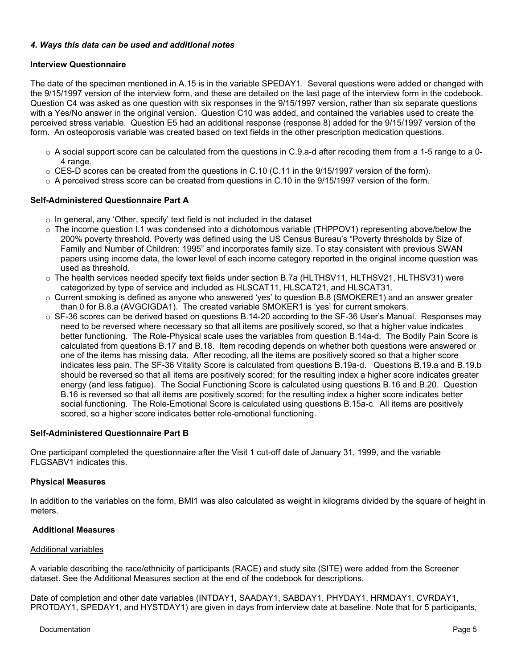### *4. Ways this data can be used and additional notes*

### **Interview Questionnaire**

The date of the specimen mentioned in A.15 is in the variable SPEDAY1. Several questions were added or changed with the 9/15/1997 version of the interview form, and these are detailed on the last page of the interview form in the codebook. Question C4 was asked as one question with six responses in the 9/15/1997 version, rather than six separate questions with a Yes/No answer in the original version. Question C10 was added, and contained the variables used to create the perceived stress variable. Question E5 had an additional response (response 8) added for the 9/15/1997 version of the form. An osteoporosis variable was created based on text fields in the other prescription medication questions.

- $\circ$  A social support score can be calculated from the questions in C.9.a-d after recoding them from a 1-5 range to a 0-4 range.
- $\circ$  CES-D scores can be created from the questions in C.10 (C.11 in the 9/15/1997 version of the form).
- $\circ$  A perceived stress score can be created from questions in C.10 in the 9/15/1997 version of the form.

### **Self-Administered Questionnaire Part A**

- o In general, any 'Other, specify' text field is not included in the dataset
- $\circ$  The income question I.1 was condensed into a dichotomous variable (THPPOV1) representing above/below the 200% poverty threshold. Poverty was defined using the US Census Bureau's "Poverty thresholds by Size of Family and Number of Children: 1995" and incorporates family size. To stay consistent with previous SWAN papers using income data, the lower level of each income category reported in the original income question was used as threshold.
- o The health services needed specify text fields under section B.7a (HLTHSV11, HLTHSV21, HLTHSV31) were categorized by type of service and included as HLSCAT11, HLSCAT21, and HLSCAT31.
- o Current smoking is defined as anyone who answered 'yes' to question B.8 (SMOKERE1) and an answer greater than 0 for B.8.a (AVGCIGDA1). The created variable SMOKER1 is 'yes' for current smokers.
- $\circ$  SF-36 scores can be derived based on questions B.14-20 according to the SF-36 User's Manual. Responses may need to be reversed where necessary so that all items are positively scored, so that a higher value indicates better functioning. The Role-Physical scale uses the variables from question B.14a-d. The Bodily Pain Score is calculated from questions B.17 and B.18. Item recoding depends on whether both questions were answered or one of the items has missing data. After recoding, all the items are positively scored so that a higher score indicates less pain. The SF-36 Vitality Score is calculated from questions B.19a-d. Questions B.19.a and B.19.b should be reversed so that all items are positively scored; for the resulting index a higher score indicates greater energy (and less fatigue). The Social Functioning Score is calculated using questions B.16 and B.20. Question B.16 is reversed so that all items are positively scored; for the resulting index a higher score indicates better social functioning. The Role-Emotional Score is calculated using questions B.15a-c. All items are positively scored, so a higher score indicates better role-emotional functioning.

#### **Self-Administered Questionnaire Part B**

One participant completed the questionnaire after the Visit 1 cut-off date of January 31, 1999, and the variable FLGSABV1 indicates this.

#### **Physical Measures**

In addition to the variables on the form, BMI1 was also calculated as weight in kilograms divided by the square of height in meters.

#### **Additional Measures**

#### Additional variables

A variable describing the race/ethnicity of participants (RACE) and study site (SITE) were added from the Screener dataset. See the Additional Measures section at the end of the codebook for descriptions.

Date of completion and other date variables (INTDAY1, SAADAY1, SABDAY1, PHYDAY1, HRMDAY1, CVRDAY1, PROTDAY1, SPEDAY1, and HYSTDAY1) are given in days from interview date at baseline. Note that for 5 participants,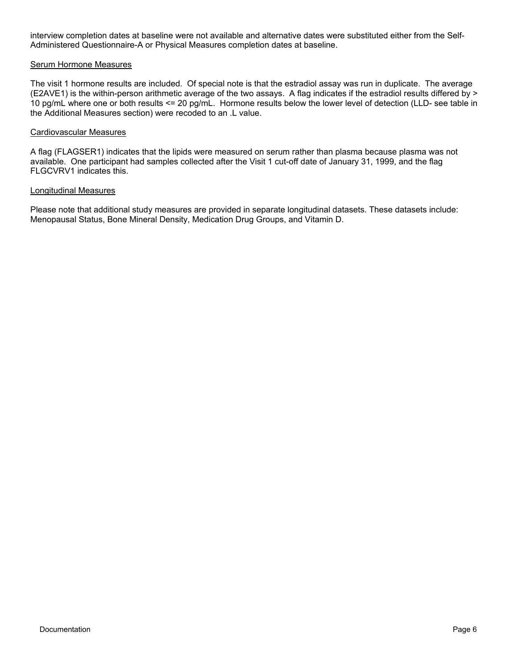interview completion dates at baseline were not available and alternative dates were substituted either from the Self-Administered Questionnaire-A or Physical Measures completion dates at baseline.

#### Serum Hormone Measures

The visit 1 hormone results are included. Of special note is that the estradiol assay was run in duplicate. The average (E2AVE1) is the within-person arithmetic average of the two assays. A flag indicates if the estradiol results differed by > 10 pg/mL where one or both results <= 20 pg/mL. Hormone results below the lower level of detection (LLD- see table in the Additional Measures section) were recoded to an .L value.

#### Cardiovascular Measures

A flag (FLAGSER1) indicates that the lipids were measured on serum rather than plasma because plasma was not available. One participant had samples collected after the Visit 1 cut-off date of January 31, 1999, and the flag FLGCVRV1 indicates this.

#### Longitudinal Measures

Please note that additional study measures are provided in separate longitudinal datasets. These datasets include: Menopausal Status, Bone Mineral Density, Medication Drug Groups, and Vitamin D.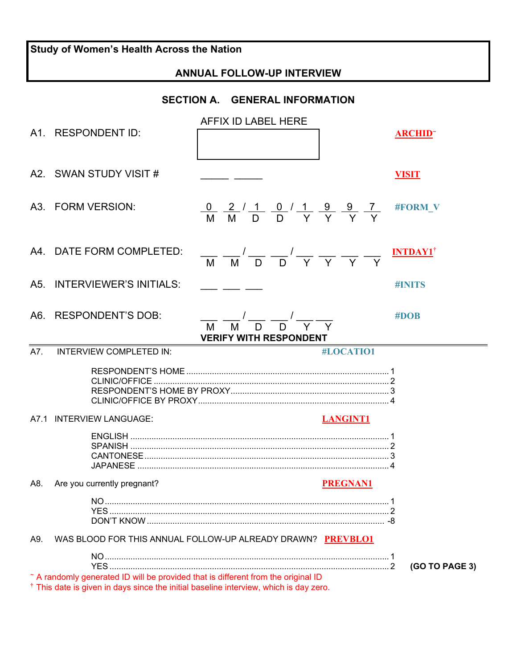## **Study of Women's Health Across the Nation**

### **ANNUAL FOLLOW-UP INTERVIEW**

### **SECTION A. GENERAL INFORMATION**

|     | A1. RESPONDENT ID:                                                                | <b>AFFIX ID LABEL HERE</b>                                                                                           | <b>ARCHID~</b> |
|-----|-----------------------------------------------------------------------------------|----------------------------------------------------------------------------------------------------------------------|----------------|
|     | A2. SWAN STUDY VISIT #                                                            |                                                                                                                      | <b>VISIT</b>   |
|     | A3. FORM VERSION:                                                                 | $\frac{0}{M}$ $\frac{2}{M}$ $\frac{1}{D}$ $\frac{0}{D}$ $\frac{1}{Y}$ $\frac{9}{Y}$ $\frac{9}{Y}$ $\frac{7}{Y}$      | #FORM V        |
|     | A4. DATE FORM COMPLETED:                                                          | $\frac{1}{M}$ $\frac{1}{M}$ $\frac{1}{D}$ $\frac{1}{D}$ $\frac{1}{Y}$ $\frac{1}{Y}$ $\frac{1}{Y}$ $\frac{1}{Y}$      | <b>INTDAY1</b> |
|     | A5. INTERVIEWER'S INITIALS:                                                       |                                                                                                                      | <b>#INITS</b>  |
|     | A6. RESPONDENT'S DOB:                                                             | $\frac{1}{M}$ $\frac{1}{M}$ $\frac{1}{D}$ $\frac{1}{D}$ $\frac{1}{Y}$ $\frac{1}{Y}$<br><b>VERIFY WITH RESPONDENT</b> | #DOB           |
| A7. | <b>INTERVIEW COMPLETED IN:</b>                                                    | #LOCATIO1                                                                                                            |                |
|     |                                                                                   |                                                                                                                      |                |
|     | A7.1 INTERVIEW LANGUAGE:                                                          | <b>LANGINT1</b>                                                                                                      |                |
|     |                                                                                   | JAPANESE ET ELECTRICIAL EN EL CONTROL DE LA CONTROL DE LA CONTROL DE LA CONTROL DE LA CONTROL DE LA CONTROL DE       |                |
| A8. | Are you currently pregnant?                                                       | <b>PREGNAN1</b>                                                                                                      |                |
|     |                                                                                   |                                                                                                                      |                |
| A9. |                                                                                   | WAS BLOOD FOR THIS ANNUAL FOLLOW-UP ALREADY DRAWN? PREVBLO1                                                          |                |
|     |                                                                                   |                                                                                                                      | (GO TO PAGE 3) |
|     | ~ A randomly generated ID will be provided that is different from the original ID |                                                                                                                      |                |

**†** This date is given in days since the initial baseline interview, which is day zero.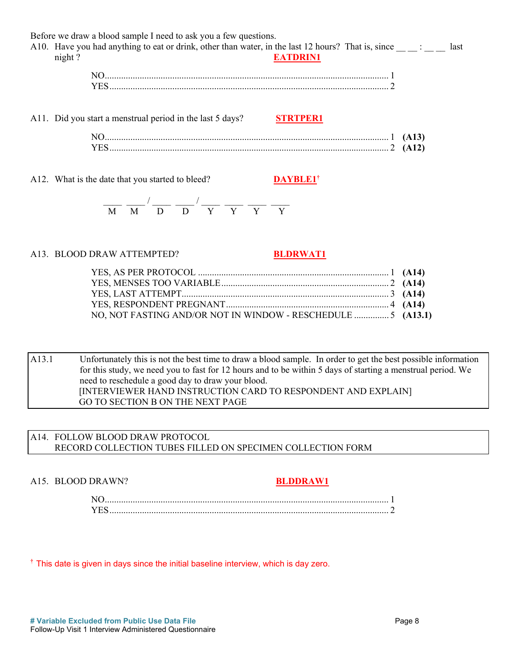Before we draw a blood sample I need to ask you a few questions.

A10. Have you had anything to eat or drink, other than water, in the last 12 hours? That is, since  $\frac{1}{\sqrt{2}}$  :  $\frac{1}{\sqrt{2}}$  last night ? **EATDRIN1** 

> NO.......................................................................................................................... 1 YES........................................................................................................................ 2

A11. Did you start a menstrual period in the last 5 days? **STRTPER1** 

A12. What is the date that you started to bleed? **DAYBLE1†**

\_\_\_\_ \_\_\_\_ / \_\_\_\_ \_\_\_\_ / \_\_\_\_ \_\_\_\_ \_\_\_\_ \_\_\_\_ M M D D Y Y Y Y

### A13. BLOOD DRAW ATTEMPTED? **BLDRWAT1**

### YES, AS PER PROTOCOL .................................................................................. 1 **(A14)** YES, MENSES TOO VARIABLE........................................................................ 2 **(A14)** YES, LAST ATTEMPT......................................................................................... 3 **(A14)** YES, RESPONDENT PREGNANT...................................................................... 4 **(A14)** NO, NOT FASTING AND/OR NOT IN WINDOW - RESCHEDULE ............... 5 **(A13.1)**

A13.1 Unfortunately this is not the best time to draw a blood sample. In order to get the best possible information for this study, we need you to fast for 12 hours and to be within 5 days of starting a menstrual period. We need to reschedule a good day to draw your blood. [INTERVIEWER HAND INSTRUCTION CARD TO RESPONDENT AND EXPLAIN] GO TO SECTION B ON THE NEXT PAGE

### A14. FOLLOW BLOOD DRAW PROTOCOL RECORD COLLECTION TUBES FILLED ON SPECIMEN COLLECTION FORM

A15. BLOOD DRAWN? **BLOOD AND BLOOD** AND **BLOOD** AND **BLOOD** AND **BLOOD** AND **BLOOD** AND **BLOOD** AND **BLOOD** AND **BLOOD** AND **BLOOD** AND **BLOOD** AND **BLOOD** AND **BLOOD** AND **BLOOD** AND **BLOOD** AND **BLOOD** AND **BLOOD** AND **B** 

| NΙ |  |
|----|--|
|    |  |

**†** This date is given in days since the initial baseline interview, which is day zero.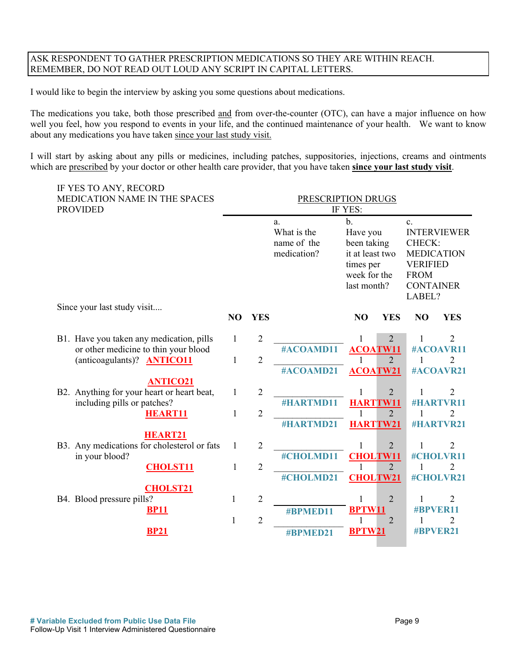### ASK RESPONDENT TO GATHER PRESCRIPTION MEDICATIONS SO THEY ARE WITHIN REACH. REMEMBER, DO NOT READ OUT LOUD ANY SCRIPT IN CAPITAL LETTERS.

I would like to begin the interview by asking you some questions about medications.

The medications you take, both those prescribed and from over-the-counter (OTC), can have a major influence on how well you feel, how you respond to events in your life, and the continued maintenance of your health. We want to know about any medications you have taken since your last study visit.

I will start by asking about any pills or medicines, including patches, suppositories, injections, creams and ointments which are prescribed by your doctor or other health care provider, that you have taken **since your last study visit**.

| IF YES TO ANY, RECORD<br>MEDICATION NAME IN THE SPACES | PRESCRIPTION DRUGS |                |                            |                                          |                                   |                                                    |                                    |
|--------------------------------------------------------|--------------------|----------------|----------------------------|------------------------------------------|-----------------------------------|----------------------------------------------------|------------------------------------|
| <b>PROVIDED</b>                                        |                    |                |                            | IF YES:                                  |                                   |                                                    |                                    |
|                                                        |                    |                | a.<br>What is the          | b.<br>Have you                           |                                   | c.                                                 | <b>INTERVIEWER</b>                 |
|                                                        |                    |                | name of the<br>medication? | been taking<br>it at least two           |                                   | CHECK:<br><b>MEDICATION</b>                        |                                    |
|                                                        |                    |                |                            | times per<br>week for the<br>last month? |                                   | <b>VERIFIED</b><br><b>FROM</b><br><b>CONTAINER</b> |                                    |
|                                                        |                    |                |                            |                                          |                                   | LABEL?                                             |                                    |
| Since your last study visit                            | N <sub>O</sub>     | <b>YES</b>     |                            | N <sub>O</sub>                           | <b>YES</b>                        | N <sub>O</sub>                                     | <b>YES</b>                         |
| B1. Have you taken any medication, pills               | 1                  | $\overline{2}$ |                            | 1                                        | 2                                 | 1                                                  | 2                                  |
| or other medicine to thin your blood                   |                    |                | <b>#ACOAMD11</b>           |                                          | <b>ACOATW11</b>                   |                                                    | <b>#ACOAVR11</b>                   |
| (anticoagulants)? <b>ANTICO11</b>                      | 1                  | $\overline{2}$ | #ACOAMD21                  |                                          | $\overline{2}$                    | 1                                                  | $\overline{2}$<br><b>#ACOAVR21</b> |
| <b>ANTICO21</b>                                        |                    |                |                            | <b>ACOATW21</b>                          |                                   |                                                    |                                    |
| B2. Anything for your heart or heart beat,             | 1                  | $\overline{2}$ |                            |                                          | $\overline{2}$                    | 1                                                  | 2                                  |
| including pills or patches?                            |                    |                | <b>#HARTMD11</b>           |                                          | <b>HARTTW11</b>                   |                                                    | <b>#HARTVR11</b>                   |
| <b>HEART11</b>                                         | 1                  | $\overline{2}$ |                            | 1                                        | $\overline{2}$                    | 1                                                  | $\overline{2}$                     |
|                                                        |                    |                | #HARTMD21                  |                                          | <b>HARTTW21</b>                   |                                                    | <b>#HARTVR21</b>                   |
| <b>HEART21</b>                                         |                    |                |                            |                                          |                                   |                                                    |                                    |
| B3. Any medications for cholesterol or fats            | $\mathbf{1}$       | $\overline{2}$ | #CHOLMD11                  | 1                                        | $\overline{2}$                    | 1                                                  | 2<br>#CHOLVR11                     |
| in your blood?<br><b>CHOLST11</b>                      | 1                  | $\overline{2}$ |                            | 1                                        | <b>CHOLTW11</b><br>$\overline{2}$ | 1                                                  | $\overline{2}$                     |
|                                                        |                    |                | #CHOLMD21                  | <b>CHOLTW21</b>                          |                                   |                                                    | #CHOLVR21                          |
| <b>CHOLST21</b>                                        |                    |                |                            |                                          |                                   |                                                    |                                    |
| B4. Blood pressure pills?                              | $\mathbf{1}$       | $\sqrt{2}$     |                            | 1                                        | $\overline{2}$                    |                                                    | 2                                  |
| <b>BP11</b>                                            |                    |                | <b>#BPMED11</b>            | <b>BPTW11</b>                            |                                   | <b>#BPVER11</b>                                    |                                    |
|                                                        | $\mathbf{1}$       | $\overline{2}$ |                            | 1                                        | $\overline{2}$                    |                                                    | $\overline{2}$                     |
| BP21                                                   |                    |                | <b>#BPMED21</b>            | <b>BPTW21</b>                            |                                   | <b>#BPVER21</b>                                    |                                    |
|                                                        |                    |                |                            |                                          |                                   |                                                    |                                    |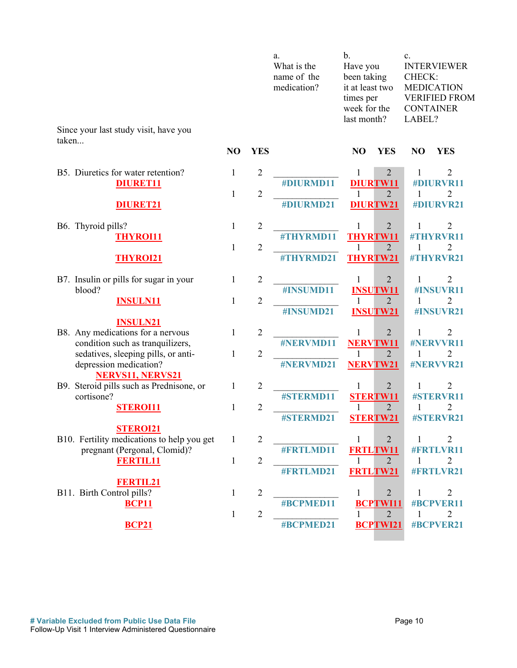| a.          | h.              | C.                   |
|-------------|-----------------|----------------------|
| What is the | Have you        | <b>INTERVIEWER</b>   |
| name of the | been taking     | CHECK:               |
| medication? | it at least two | <b>MEDICATION</b>    |
|             | times per       | <b>VERIFIED FROM</b> |
|             | week for the    | <b>CONTAINER</b>     |
|             | last month?     | LAREL?               |

Since your last study visit, have you taken...

|                                            | N <sub>O</sub> | <b>YES</b>     |                  | N <sub>O</sub> | <b>YES</b>                               | NO<br><b>YES</b>      |                |
|--------------------------------------------|----------------|----------------|------------------|----------------|------------------------------------------|-----------------------|----------------|
| B5. Diuretics for water retention?         | 1              | $\overline{2}$ |                  | 1              | $\overline{2}$                           | 1                     | $\overline{2}$ |
| <b>DIURET11</b>                            |                |                | <b>#DIURMD11</b> |                | <b>DIURTW11</b>                          | <b>#DIURVR11</b>      |                |
| <b>DIURET21</b>                            | 1              | $\overline{2}$ | <b>#DIURMD21</b> | 1              | $\mathcal{D}_{\cdot}$<br><b>DIURTW21</b> | 1<br><b>#DIURVR21</b> | 2              |
|                                            |                |                |                  |                |                                          |                       |                |
| B6. Thyroid pills?                         | 1              | $\overline{2}$ |                  | 1              | $\overline{2}$                           | 1                     | $\overline{2}$ |
| <b>THYROI11</b>                            |                |                | #THYRMD11        |                | <b>THYRTW11</b>                          | <b>#THYRVR11</b>      |                |
|                                            | 1              | $\overline{2}$ | #THYRMD21        | 1              | $\mathcal{D}_{\mathcal{L}}$<br>THYRTW21  | 1<br>#THYRVR21        | 2              |
| <b>THYROI21</b>                            |                |                |                  |                |                                          |                       |                |
| B7. Insulin or pills for sugar in your     | $\mathbf{1}$   | $\overline{2}$ |                  | 1              | $\overline{2}$                           | 1                     | $\overline{2}$ |
| blood?                                     |                |                | #INSUMD11        |                | <b>INSUTW11</b>                          | <b>#INSUVR11</b>      |                |
| <b>INSULN11</b>                            | 1              | $\overline{2}$ |                  | 1              | $\mathfrak{D}$                           | 1                     | 2              |
| <b>INSULN21</b>                            |                |                | #INSUMD21        |                | <b>INSUTW21</b>                          | <b>#INSUVR21</b>      |                |
| B8. Any medications for a nervous          | $\mathbf{1}$   | $\mathfrak{2}$ |                  | 1              | $\overline{2}$                           | 1                     | 2              |
| condition such as tranquilizers,           |                |                | <b>#NERVMD11</b> |                | <b>NERVTW11</b>                          | <b>#NERVVR11</b>      |                |
| sedatives, sleeping pills, or anti-        | 1              | $\overline{2}$ |                  | 1              | $\overline{2}$                           | 1                     | $\overline{2}$ |
| depression medication?<br>NERVS11, NERVS21 |                |                | <b>#NERVMD21</b> |                | <b>NERVTW21</b>                          | <b>#NERVVR21</b>      |                |
| B9. Steroid pills such as Prednisone, or   | $\mathbf{1}$   | $\overline{2}$ |                  | 1              | $\overline{2}$                           | 1                     | 2              |
| cortisone?                                 |                |                | <b>#STERMD11</b> |                | <b>STERTW11</b>                          | <b>#STERVR11</b>      |                |
| <b>STEROI11</b>                            | $\mathbf{1}$   | $\overline{2}$ |                  | 1              | $\overline{2}$                           | 1                     | $\overline{2}$ |
| <b>STEROI21</b>                            |                |                | <b>#STERMD21</b> |                | <b>STERTW21</b>                          | <b>#STERVR21</b>      |                |
| B10. Fertility medications to help you get | $\mathbf{1}$   | $\overline{c}$ |                  | $\mathbf{1}$   | $\overline{2}$                           | 1                     | $\overline{2}$ |
| pregnant (Pergonal, Clomid)?               |                |                | <b>#FRTLMD11</b> |                | <b>FRTLTW11</b>                          | <b>#FRTLVR11</b>      |                |
| <b>FERTIL11</b>                            | $\mathbf{1}$   | $\overline{2}$ |                  | 1              | $\overline{2}$                           | 1                     | $\overline{2}$ |
| <b>FERTIL21</b>                            |                |                | #FRTLMD21        |                | <b>FRTLTW21</b>                          | <b>#FRTLVR21</b>      |                |
| B11. Birth Control pills?                  | $\mathbf{1}$   | $\overline{c}$ |                  | $\mathbf{1}$   | $\overline{2}$                           | 1                     | $\overline{2}$ |
| <b>BCP11</b>                               |                |                | <b>#BCPMED11</b> |                | <b>BCPTWI11</b>                          | <b>#BCPVER11</b>      |                |
|                                            | $\mathbf{1}$   | $\overline{2}$ |                  | 1              | $\overline{2}$                           | 1                     | 2              |
| <b>BCP21</b>                               |                |                | <b>#BCPMED21</b> |                | <b>BCPTWI21</b>                          | <b>#BCPVER21</b>      |                |
|                                            |                |                |                  |                |                                          |                       |                |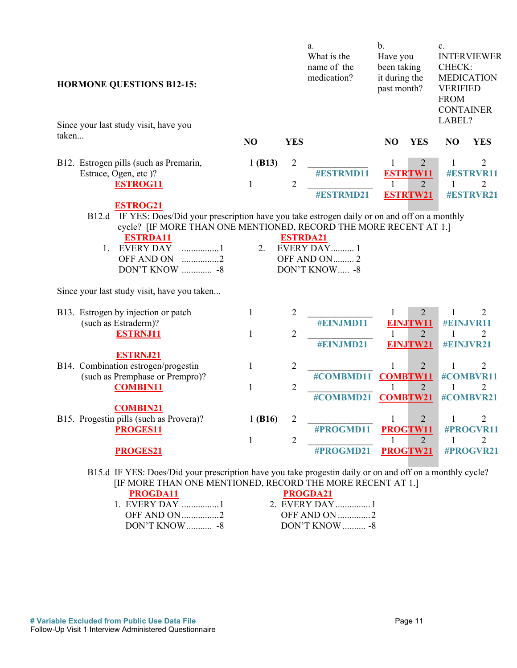| <b>HORMONE QUESTIONS B12-15:</b><br>Since your last study visit, have you                                                                                                                                                                                                                                                                                                                                                                 |                              |                                  | a.<br>What is the<br>name of the<br>medication? | b.<br>Have you<br>been taking<br>it during the<br>past month? |                                                                        | c.<br>CHECK:<br><b>MEDICATION</b><br><b>VERIFIED</b><br><b>FROM</b><br><b>CONTAINER</b><br>LABEL? | <b>INTERVIEWER</b>                                         |
|-------------------------------------------------------------------------------------------------------------------------------------------------------------------------------------------------------------------------------------------------------------------------------------------------------------------------------------------------------------------------------------------------------------------------------------------|------------------------------|----------------------------------|-------------------------------------------------|---------------------------------------------------------------|------------------------------------------------------------------------|---------------------------------------------------------------------------------------------------|------------------------------------------------------------|
| taken                                                                                                                                                                                                                                                                                                                                                                                                                                     | N <sub>O</sub>               | <b>YES</b>                       |                                                 | N <sub>O</sub>                                                | <b>YES</b>                                                             | N <sub>O</sub>                                                                                    | <b>YES</b>                                                 |
| B12. Estrogen pills (such as Premarin,<br>Estrace, Ogen, etc )?<br><b>ESTROG11</b>                                                                                                                                                                                                                                                                                                                                                        | 1(B13)<br>1                  | $\overline{2}$<br>$\overline{2}$ | <b>#ESTRMD11</b>                                | 1<br>1                                                        | $\overline{2}$<br><b>ESTRTW11</b><br>$\mathcal{D}_{\mathcal{L}}$       | $\mathbf{1}$<br>1                                                                                 | $\overline{2}$<br><b>#ESTRVR11</b><br>2                    |
| <b>#ESTRMD21</b><br><b>ESTRTW21</b><br><b>#ESTRVR21</b><br><b>ESTROG21</b><br><b>B12.d</b><br>IF YES: Does/Did your prescription have you take estrogen daily or on and off on a monthly<br>cycle? [IF MORE THAN ONE MENTIONED, RECORD THE MORE RECENT AT 1.]<br><b>ESTRDA11</b><br><b>ESTRDA21</b><br><b>EVERY DAY</b><br>2.<br>EVERY DAY 1<br>$1_{-}$<br>1<br>OFF AND ON<br>OFF AND ON  2<br>2<br><b>DON'T KNOW</b> -8<br>DON'T KNOW -8 |                              |                                  |                                                 |                                                               |                                                                        |                                                                                                   |                                                            |
| Since your last study visit, have you taken                                                                                                                                                                                                                                                                                                                                                                                               |                              |                                  |                                                 |                                                               |                                                                        |                                                                                                   |                                                            |
| B13. Estrogen by injection or patch<br>(such as Estraderm)?<br><b>ESTRNJ11</b>                                                                                                                                                                                                                                                                                                                                                            | $\mathbf{1}$<br>$\mathbf{1}$ | $\overline{2}$<br>$\overline{2}$ | #EINJMD11<br><b>#EINJMD21</b>                   | 1<br>1                                                        | $\overline{2}$<br><b>EINJTW11</b><br>$\overline{2}$<br><b>EINJTW21</b> | 1<br><b>#EINJVR11</b><br>1<br><b>#EINJVR21</b>                                                    | 2<br>2                                                     |
| <b>ESTRNJ21</b><br>B14. Combination estrogen/progestin<br>(such as Premphase or Prempro)?<br><b>COMBIN11</b>                                                                                                                                                                                                                                                                                                                              | $\mathbf{1}$<br>1            | $\overline{2}$<br>$\overline{2}$ | #COMBMD11<br>#COMBMD21                          | 1                                                             | $\overline{2}$<br><b>COMBTW11</b><br>$\overline{2}$<br><b>COMBTW21</b> | 1<br>1                                                                                            | 2<br>#COMBVR11<br>$\overline{2}$<br>#COMBVR21              |
| <b>COMBIN21</b><br>B15. Progestin pills (such as Provera)?<br><b>PROGES11</b><br>PROGES21                                                                                                                                                                                                                                                                                                                                                 | 1(B16)<br>$\mathbf{1}$       | $\overline{2}$<br>$\overline{2}$ | #PROGMD11<br>#PROGMD21                          | 1<br>1                                                        | $\overline{2}$<br>PROGTW11<br>$\mathcal{D}$<br>PROGTW21                | 1<br>1                                                                                            | $\overline{2}$<br>#PROGVR11<br>$\overline{2}$<br>#PROGVR21 |
| B15.d IF YES: Does/Did your prescription have you take progestin daily or on and off on a monthly cycle?                                                                                                                                                                                                                                                                                                                                  |                              |                                  |                                                 |                                                               |                                                                        |                                                                                                   |                                                            |

B15.d IF YES: Does/Did your prescription have you take progestin daily or on and off on a monthly cycle? [IF MORE THAN ONE MENTIONED, RECORD THE MORE RECENT AT 1.]

DON'T KNOW........... -8 DON'T KNOW.......... -8

# **PROGDA11 PROGDA21**

1. EVERY DAY ................1 2. EVERY DAY...............1 OFF AND ON................2 OFF AND ON ..............2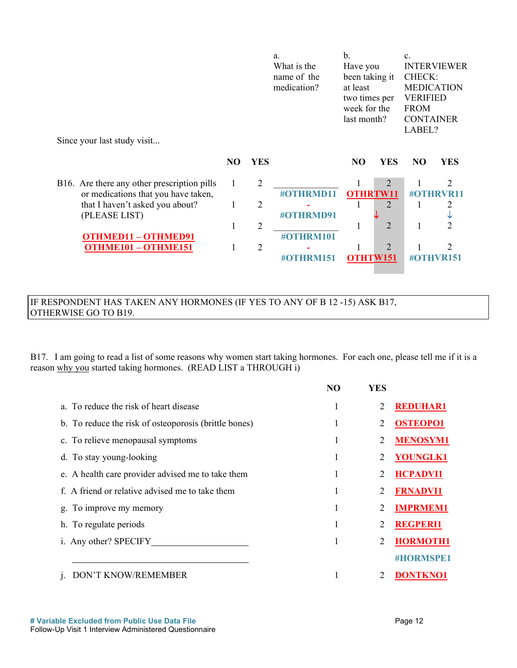| Since your last study visit                                                                                                                                                                |             |                                                                      | a.<br>What is the<br>name of the<br>medication?   | $b$<br>Have you<br>been taking it<br>at least<br>two times per<br>week for the<br>last month? |                                                                            | $\mathbf{c}$ .<br><b>INTERVIEWER</b><br><b>CHECK:</b><br><b>MEDICATION</b><br><b>VERIFIED</b><br><b>FROM</b><br><b>CONTAINER</b><br>LABEL? |                                                                                                                                                                                       |
|--------------------------------------------------------------------------------------------------------------------------------------------------------------------------------------------|-------------|----------------------------------------------------------------------|---------------------------------------------------|-----------------------------------------------------------------------------------------------|----------------------------------------------------------------------------|--------------------------------------------------------------------------------------------------------------------------------------------|---------------------------------------------------------------------------------------------------------------------------------------------------------------------------------------|
|                                                                                                                                                                                            | NO          | <b>YES</b>                                                           |                                                   | NO                                                                                            | <b>YES</b>                                                                 | NO.                                                                                                                                        | <b>YES</b>                                                                                                                                                                            |
| B16. Are there any other prescription pills<br>or medications that you have taken,<br>that I haven't asked you about?<br>(PLEASE LIST)<br>THMED11 – OTHMED91<br><b>OTHME101 - OTHME151</b> | 1<br>1<br>1 | $\overline{2}$<br>$\overline{2}$<br>$\overline{2}$<br>$\overline{2}$ | <b>#OTHRMD11</b><br><b>#OTHRMD91</b><br>#OTHRM101 | 1                                                                                             | $\mathfrak{D}$<br><b>OTHRTW11</b><br>2<br>$\overline{2}$<br>$\mathfrak{D}$ | #O                                                                                                                                         | $\mathcal{D}$<br>$\mathcal{D}_{\mathcal{A}}^{\mathcal{A}}(\mathcal{A})=\mathcal{D}_{\mathcal{A}}^{\mathcal{A}}(\mathcal{A})\mathcal{D}_{\mathcal{A}}^{\mathcal{A}}(\mathcal{A})$<br>2 |
|                                                                                                                                                                                            |             |                                                                      | THRM151<br># $\Omega$                             |                                                                                               | OTHTW151                                                                   | #O                                                                                                                                         |                                                                                                                                                                                       |

### IF RESPONDENT HAS TAKEN ANY HORMONES (IF YES TO ANY OF B 12 -15) ASK B17, OTHERWISE GO TO B19.

B17. I am going to read a list of some reasons why women start taking hormones. For each one, please tell me if it is a reason why you started taking hormones. (READ LIST a THROUGH i)

|                                                       | N <sub>O</sub> | <b>YES</b> |                  |
|-------------------------------------------------------|----------------|------------|------------------|
| a. To reduce the risk of heart disease                | 1              | 2          | <b>REDUHAR1</b>  |
| b. To reduce the risk of osteoporosis (brittle bones) | 1              | 2          | <b>OSTEOPO1</b>  |
| c. To relieve menopausal symptoms                     | 1              |            | <b>MENOSYM1</b>  |
| d. To stay young-looking                              |                |            | YOUNGLK1         |
| e. A health care provider advised me to take them     |                | 2          | <b>HCPADVI1</b>  |
| f. A friend or relative advised me to take them       |                | 2          | <b>FRNADVI1</b>  |
| g. To improve my memory                               |                | 2          | <b>IMPRMEM1</b>  |
| h. To regulate periods                                |                |            | <b>REGPERI1</b>  |
| i. Any other? SPECIFY                                 |                | 2          | <b>HORMOTH1</b>  |
|                                                       |                |            | <b>#HORMSPE1</b> |
| DON'T KNOW/REMEMBER<br>$\mathbf{1}$                   |                |            | <b>DONTKNO1</b>  |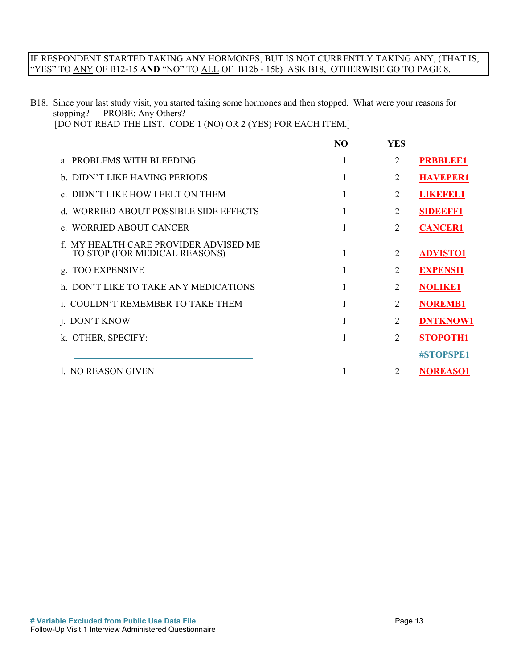### IF RESPONDENT STARTED TAKING ANY HORMONES, BUT IS NOT CURRENTLY TAKING ANY, (THAT IS, "YES" TO ANY OF B12-15 AND "NO" TO ALL OF B12b - 15b) ASK B18, OTHERWISE GO TO PAGE 8.

B18. Since your last study visit, you started taking some hormones and then stopped. What were your reasons for stopping? PROBE: Any Others?

[DO NOT READ THE LIST. CODE 1 (NO) OR 2 (YES) FOR EACH ITEM.]

|                                                                        | NO | <b>YES</b>     |                  |
|------------------------------------------------------------------------|----|----------------|------------------|
| a. PROBLEMS WITH BLEEDING                                              | 1  | 2              | <b>PRBBLEE1</b>  |
| <b>b. DIDN'T LIKE HAVING PERIODS</b>                                   |    | 2              | <b>HAVEPER1</b>  |
| c. DIDN'T LIKE HOW I FELT ON THEM                                      |    | 2              | <b>LIKEFEL1</b>  |
| d. WORRIED ABOUT POSSIBLE SIDE EFFECTS                                 |    | 2              | <b>SIDEEFF1</b>  |
| e. WORRIED ABOUT CANCER                                                |    | $\overline{2}$ | <b>CANCER1</b>   |
| f. MY HEALTH CARE PROVIDER ADVISED ME<br>TO STOP (FOR MEDICAL REASONS) | 1  | 2              | <b>ADVISTO1</b>  |
| g. TOO EXPENSIVE                                                       |    | $\overline{2}$ | <b>EXPENSI1</b>  |
| h. DON'T LIKE TO TAKE ANY MEDICATIONS                                  |    | $\overline{2}$ | <b>NOLIKE1</b>   |
| i. COULDN'T REMEMBER TO TAKE THEM                                      |    | 2              | <b>NOREMB1</b>   |
| <i>i. DON'T KNOW</i>                                                   |    | 2              | <b>DNTKNOW1</b>  |
| k. OTHER, SPECIFY:                                                     |    | 2              | <b>STOPOTH1</b>  |
|                                                                        |    |                | <b>#STOPSPE1</b> |
| <b>NO REASON GIVEN</b>                                                 |    | 2              | <b>NOREASO1</b>  |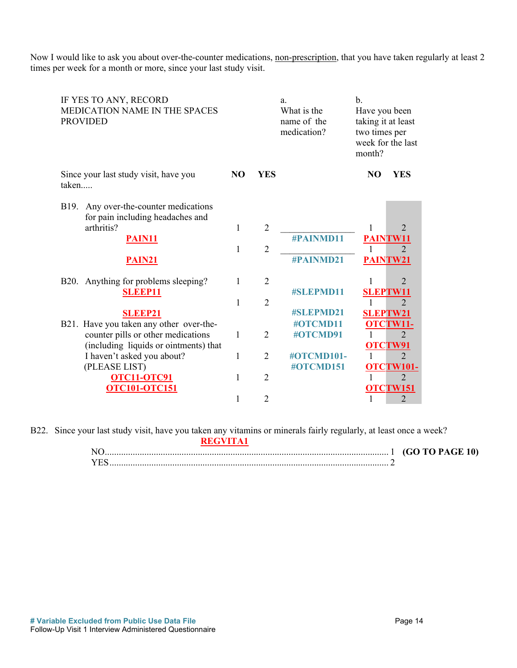Now I would like to ask you about over-the-counter medications, non-prescription, that you have taken regularly at least 2 times per week for a month or more, since your last study visit.

| IF YES TO ANY, RECORD<br><b>MEDICATION NAME IN THE SPACES</b><br><b>PROVIDED</b>          |    |                | a.<br>What is the<br>name of the<br>medication? | b.<br>Have you been<br>taking it at least<br>two times per<br>month? | week for the last |
|-------------------------------------------------------------------------------------------|----|----------------|-------------------------------------------------|----------------------------------------------------------------------|-------------------|
| Since your last study visit, have you<br>taken                                            | NO | <b>YES</b>     |                                                 | N <sub>O</sub>                                                       | <b>YES</b>        |
| Any over-the-counter medications<br>B <sub>19</sub> .<br>for pain including headaches and |    |                |                                                 |                                                                      |                   |
| arthritis?                                                                                | 1  | $\overline{2}$ |                                                 | 1                                                                    |                   |
| PAIN11                                                                                    |    |                | <b>#PAINMD11</b>                                | PAINTW11                                                             |                   |
|                                                                                           | 1  | $\overline{2}$ |                                                 | 1                                                                    | $\mathcal{D}$     |
| PAIN21                                                                                    |    |                | <b>#PAINMD21</b>                                |                                                                      | PAINTW21          |
| B20. Anything for problems sleeping?                                                      | 1  | 2              |                                                 |                                                                      |                   |
| <b>SLEEP11</b>                                                                            |    |                | <b>#SLEPMD11</b>                                | <b>SLEPTW11</b>                                                      |                   |
|                                                                                           | 1  | $\overline{2}$ |                                                 | 1                                                                    | $\mathfrak{D}$    |
| <b>SLEEP21</b>                                                                            |    |                | <b>#SLEPMD21</b>                                | <b>SLEPTW21</b>                                                      |                   |
| B21. Have you taken any other over-the-                                                   |    |                | #OTCMD11                                        |                                                                      | OTCTW11-          |
| counter pills or other medications                                                        | 1  | 2              | #OTCMD91                                        | 1                                                                    | $\mathfrak{D}$    |
| (including liquids or ointments) that                                                     |    |                |                                                 |                                                                      | TCTW91            |
| I haven't asked you about?                                                                | 1  | 2              | #OTCMD101-                                      |                                                                      | $\mathfrak{D}$    |
| (PLEASE LIST)                                                                             |    |                | #OTCMD151                                       |                                                                      | <b>TCTW101-</b>   |
| <b>ОТС11-ОТС91</b>                                                                        | 1  | 2              |                                                 |                                                                      | $\mathfrak{D}$    |
| <b>ОТС101-ОТС151</b>                                                                      |    |                |                                                 |                                                                      | TCTW151           |
|                                                                                           | 1  | 2              |                                                 |                                                                      | $\overline{2}$    |

B22. Since your last study visit, have you taken any vitamins or minerals fairly regularly, at least once a week?

| <b>REGVITA1</b> |  |
|-----------------|--|
| N <sub>f</sub>  |  |
| <b>VFS</b>      |  |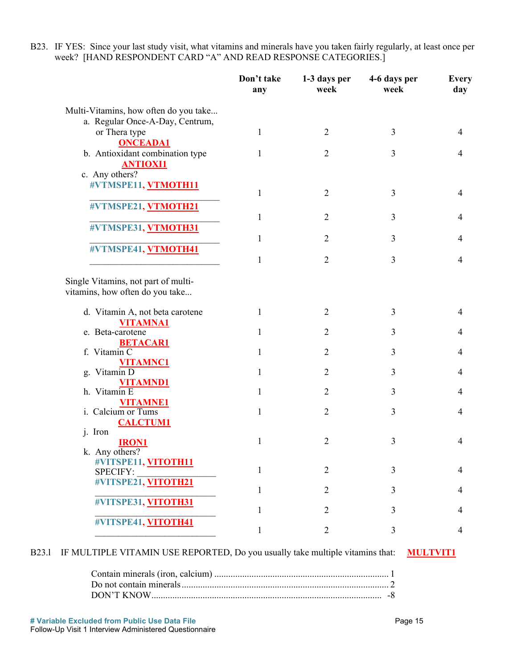B23. IF YES: Since your last study visit, what vitamins and minerals have you taken fairly regularly, at least once per week? [HAND RESPONDENT CARD "A" AND READ RESPONSE CATEGORIES.]

|                                                                        | Don't take<br>any | 1-3 days per<br>week | 4-6 days per<br>week | <b>Every</b><br>day |
|------------------------------------------------------------------------|-------------------|----------------------|----------------------|---------------------|
| Multi-Vitamins, how often do you take                                  |                   |                      |                      |                     |
| a. Regular Once-A-Day, Centrum,<br>or Thera type<br><b>ONCEADA1</b>    | 1                 | $\overline{2}$       | 3                    | 4                   |
| b. Antioxidant combination type<br><b>ANTIOXI1</b>                     | 1                 | $\overline{2}$       | 3                    | 4                   |
| c. Any others?<br>#VTMSPE11, VTMOTH11                                  |                   |                      |                      |                     |
| #VTMSPE21, VTMOTH21                                                    | 1                 | $\overline{2}$       | 3                    | 4                   |
| #VTMSPE31, VTMOTH31                                                    | 1                 | $\overline{2}$       | 3                    | 4                   |
| #VTMSPE41, VTMOTH41                                                    | 1                 | $\overline{2}$       | 3                    | 4                   |
|                                                                        | 1                 | $\overline{2}$       | 3                    | 4                   |
| Single Vitamins, not part of multi-<br>vitamins, how often do you take |                   |                      |                      |                     |
| d. Vitamin A, not beta carotene<br><b>VITAMNA1</b>                     | 1                 | $\overline{2}$       | 3                    | 4                   |
| e. Beta-carotene<br><b>BETACAR1</b>                                    | 1                 | $\overline{2}$       | 3                    | 4                   |
| f. Vitamin C                                                           | 1                 | $\overline{2}$       | 3                    | 4                   |
| <b>VITAMNC1</b><br>g. Vitamin D                                        | 1                 | $\overline{2}$       | 3                    | 4                   |
| <b>VITAMND1</b><br>h. Vitamin E                                        | 1                 | $\overline{2}$       | 3                    | 4                   |
| <b>VITAMNE1</b><br>i. Calcium or Tums<br><b>CALCTUM1</b>               | 1                 | $\overline{2}$       | 3                    | 4                   |
| j. Iron<br><b>IRON1</b>                                                | 1                 | $\overline{2}$       | 3                    | 4                   |
| k. Any others?<br>#VITSPE11, VITOTH11<br><b>SPECIFY:</b>               | 1                 | $\overline{2}$       | 3                    | 4                   |
| #VITSPE21, VITOTH21                                                    | $\mathbf{1}$      | $\overline{2}$       | 3                    | 4                   |
| #VITSPE31, VITOTH31                                                    | $\mathbf{1}$      | $\overline{2}$       | 3                    | $\overline{4}$      |
| #VITSPE41, VITOTH41                                                    | $\mathbf{1}$      | $\overline{2}$       | 3                    | 4                   |
|                                                                        |                   |                      |                      |                     |

B23.1 IF MULTIPLE VITAMIN USE REPORTED, Do you usually take multiple vitamins that: **MULTVIT1**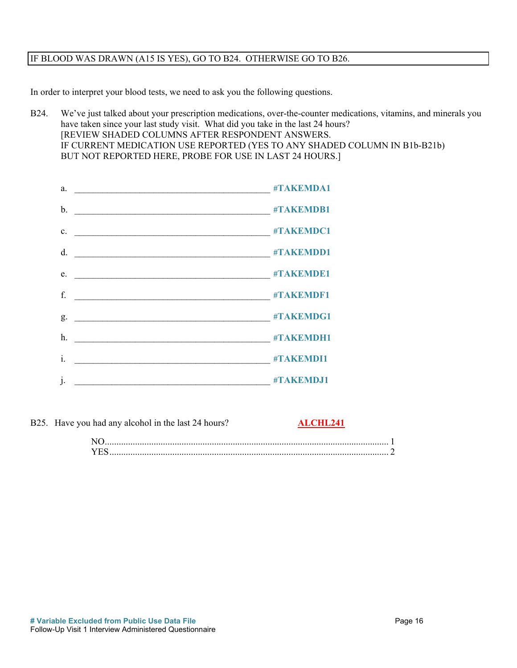### IF BLOOD WAS DRAWN (A15 IS YES), GO TO B24. OTHERWISE GO TO B26.

In order to interpret your blood tests, we need to ask you the following questions.

B24. We've just talked about your prescription medications, over-the-counter medications, vitamins, and minerals you have taken since your last study visit. What did you take in the last 24 hours? [REVIEW SHADED COLUMNS AFTER RESPONDENT ANSWERS. IF CURRENT MEDICATION USE REPORTED (YES TO ANY SHADED COLUMN IN B1b-B21b) BUT NOT REPORTED HERE, PROBE FOR USE IN LAST 24 HOURS.]

| a.                                                                                                                         | #TAKEMDA1 |
|----------------------------------------------------------------------------------------------------------------------------|-----------|
| $b$ .                                                                                                                      | #TAKEMDB1 |
| c.                                                                                                                         |           |
| d.<br>———————————————————————— #ТАКЕМDD1                                                                                   |           |
| e.<br><u> 1989 - Johann John Stone, market francuski filozof (</u>                                                         | #TAKEMDE1 |
| f.                                                                                                                         |           |
| g.                                                                                                                         |           |
| h.                                                                                                                         |           |
| $\mathbf{i}$ .                                                                                                             | #TAKEMDI1 |
| j.<br><u> 1989 - Johann Stein, marwolaethau a bhann an t-Amhainn an t-Amhainn an t-Amhainn an t-Amhainn an t-Amhainn a</u> | #TAKEMDJ1 |

| B25. Have you had any alcohol in the last 24 hours? | <b>ALCHL241</b> |
|-----------------------------------------------------|-----------------|
|                                                     |                 |
|                                                     |                 |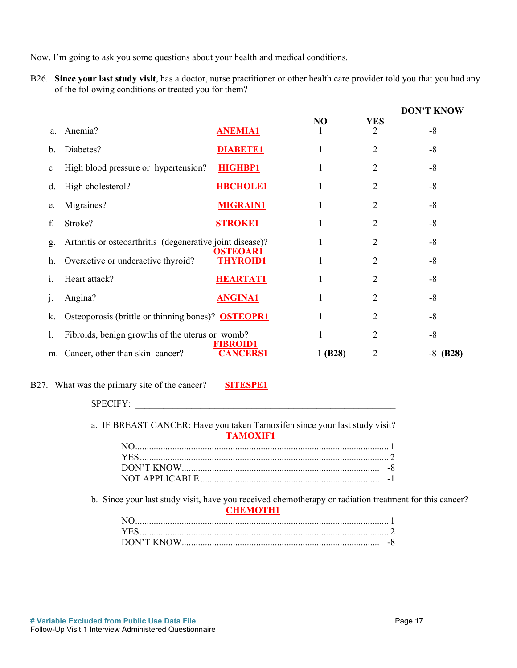Now, I'm going to ask you some questions about your health and medical conditions.

B26. **Since your last study visit**, has a doctor, nurse practitioner or other health care provider told you that you had any of the following conditions or treated you for them?

|                |                                                           |                                    |        |                 | <b>DON'T KNOW</b> |
|----------------|-----------------------------------------------------------|------------------------------------|--------|-----------------|-------------------|
| a.             | Anemia?                                                   | <b>ANEMIA1</b>                     | NO     | <b>YES</b><br>2 | $-8$              |
| b.             | Diabetes?                                                 | <b>DIABETE1</b>                    |        | 2               | $-8$              |
| $\mathbf c$    | High blood pressure or hypertension?                      | <b>HIGHBP1</b>                     | 1      | 2               | $-8$              |
| d.             | High cholesterol?                                         | <b>HBCHOLE1</b>                    |        | 2               | $-8$              |
| e.             | Migraines?                                                | <b>MIGRAIN1</b>                    |        | 2               | $-8$              |
| f.             | Stroke?                                                   | <b>STROKE1</b>                     |        | 2               | $-8$              |
| g.             | Arthritis or osteoarthritis (degenerative joint disease)? |                                    |        | $\overline{2}$  | $-8$              |
| h.             | Overactive or underactive thyroid?                        | <b>OSTEOAR1</b><br><b>THYROID1</b> |        | 2               | $-8$              |
| $\mathbf{1}$ . | Heart attack?                                             | <b>HEARTAT1</b>                    |        | 2               | -8                |
| $\cdot$        | Angina?                                                   | <b>ANGINA1</b>                     |        | 2               | $-8$              |
| k.             | Osteoporosis (brittle or thinning bones)? <b>OSTEOPR1</b> |                                    |        | 2               | $-8$              |
| l.             | Fibroids, benign growths of the uterus or womb?           |                                    |        | 2               | $-8$              |
|                | m. Cancer, other than skin cancer?                        | FIBROID1<br><b>CANCERS1</b>        | 1(B28) |                 | (B28)<br>-8       |

#### B27. What was the primary site of the cancer? **SITESPE1**

 $SPECIFY:$ 

a. IF BREAST CANCER: Have you taken Tamoxifen since your last study visit?

| <b>TAMOXIF1</b> |  |
|-----------------|--|
|                 |  |
|                 |  |
|                 |  |
|                 |  |

b. Since your last study visit, have you received chemotherapy or radiation treatment for this cancer? **CHEMOTH1**

| DON'T KNOW |  |
|------------|--|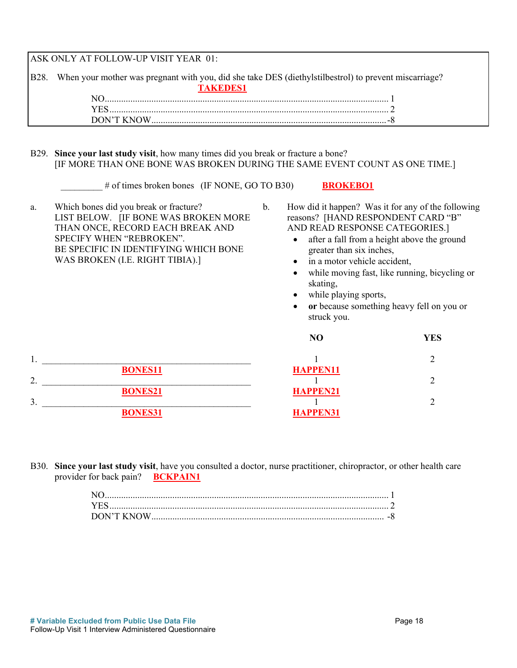|             | ASK ONLY AT FOLLOW-UP VISIT YEAR 01:                                                                                                                                                                                       |                |                                                                                                                                                                                                                                                                                                                                                                                                                                                                                   |                |
|-------------|----------------------------------------------------------------------------------------------------------------------------------------------------------------------------------------------------------------------------|----------------|-----------------------------------------------------------------------------------------------------------------------------------------------------------------------------------------------------------------------------------------------------------------------------------------------------------------------------------------------------------------------------------------------------------------------------------------------------------------------------------|----------------|
| <b>B28.</b> | When your mother was pregnant with you, did she take DES (diethylstilbestrol) to prevent miscarriage?<br><b>TAKEDES1</b>                                                                                                   |                |                                                                                                                                                                                                                                                                                                                                                                                                                                                                                   |                |
|             | B29. Since your last study visit, how many times did you break or fracture a bone?<br>[IF MORE THAN ONE BONE WAS BROKEN DURING THE SAME EVENT COUNT AS ONE TIME.]<br># of times broken bones (IF NONE, GO TO B30)          |                |                                                                                                                                                                                                                                                                                                                                                                                                                                                                                   |                |
| a.          | Which bones did you break or fracture?<br>LIST BELOW. [IF BONE WAS BROKEN MORE<br>THAN ONCE, RECORD EACH BREAK AND<br>SPECIFY WHEN "REBROKEN".<br>BE SPECIFIC IN IDENTIFYING WHICH BONE<br>WAS BROKEN (I.E. RIGHT TIBIA).] | $\mathbf{b}$ . | <b>BROKEBO1</b><br>How did it happen? Was it for any of the following<br>reasons? [HAND RESPONDENT CARD "B"<br>AND READ RESPONSE CATEGORIES.]<br>after a fall from a height above the ground<br>$\bullet$<br>greater than six inches,<br>in a motor vehicle accident,<br>$\bullet$<br>while moving fast, like running, bicycling or<br>$\bullet$<br>skating,<br>while playing sports,<br>or because something heavy fell on you or<br>struck you.<br>N <sub>O</sub><br><b>YES</b> |                |
|             |                                                                                                                                                                                                                            |                |                                                                                                                                                                                                                                                                                                                                                                                                                                                                                   | 2              |
|             | <b>BONES11</b>                                                                                                                                                                                                             |                | <b>HAPPEN11</b>                                                                                                                                                                                                                                                                                                                                                                                                                                                                   | 2              |
| 3.          | <b>BONES21</b>                                                                                                                                                                                                             |                | <b>HAPPEN21</b>                                                                                                                                                                                                                                                                                                                                                                                                                                                                   | $\overline{2}$ |
|             | <b>BONES31</b>                                                                                                                                                                                                             |                | <b>HAPPEN31</b>                                                                                                                                                                                                                                                                                                                                                                                                                                                                   |                |

B30. **Since your last study visit**, have you consulted a doctor, nurse practitioner, chiropractor, or other health care provider for back pain? **BCKPAIN1**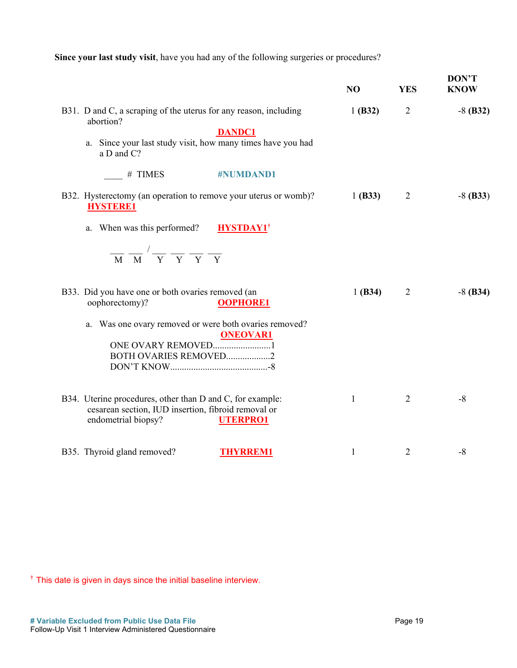**Since your last study visit**, have you had any of the following surgeries or procedures?

|                                                                                                                                                            | NO        | <b>YES</b>     | DON'T<br><b>KNOW</b> |
|------------------------------------------------------------------------------------------------------------------------------------------------------------|-----------|----------------|----------------------|
| B31. D and C, a scraping of the uterus for any reason, including<br>abortion?                                                                              | 1 $(B32)$ | $\overline{2}$ | $-8$ (B32)           |
| <b>DANDC1</b><br>a. Since your last study visit, how many times have you had<br>a D and C?                                                                 |           |                |                      |
| # TIMES<br><b>#NUMDAND1</b>                                                                                                                                |           |                |                      |
| B32. Hysterectomy (an operation to remove your uterus or womb)?<br><b>HYSTERE1</b>                                                                         | 1 $(B33)$ | $\overline{2}$ | $-8$ (B33)           |
| a. When was this performed?<br><b>HYSTDAY1</b>                                                                                                             |           |                |                      |
| $\frac{1}{M}$ $\frac{1}{M}$ $\frac{1}{Y}$ $\frac{1}{Y}$ $\frac{1}{Y}$                                                                                      |           |                |                      |
| B33. Did you have one or both ovaries removed (an<br>oophorectomy)?<br><b>OOPHORE1</b>                                                                     | 1 $(B34)$ | $\overline{2}$ | $-8$ (B34)           |
| a. Was one ovary removed or were both ovaries removed?<br><b>ONEOVAR1</b><br>ONE OVARY REMOVED1<br>BOTH OVARIES REMOVED2                                   |           |                |                      |
| B34. Uterine procedures, other than D and C, for example:<br>cesarean section, IUD insertion, fibroid removal or<br>endometrial biopsy?<br><b>UTERPRO1</b> | 1         | $\overline{2}$ | $-8$                 |
| B35. Thyroid gland removed?<br><b>THYRREM1</b>                                                                                                             | 1         | $\overline{2}$ | $-8$                 |

**†** This date is given in days since the initial baseline interview.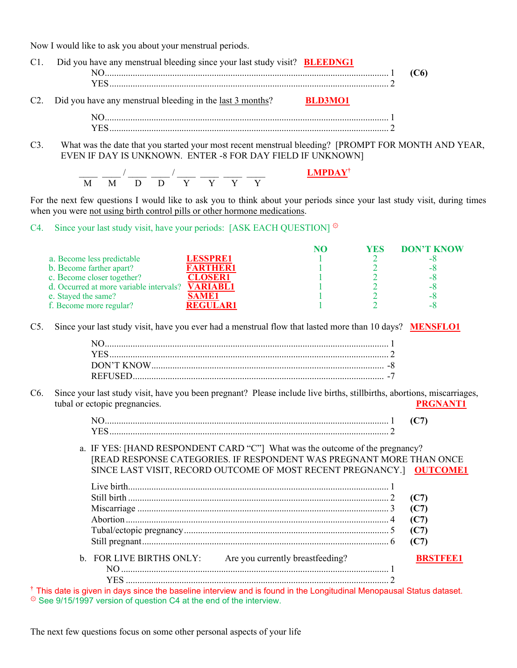Now I would like to ask you about your menstrual periods.

| C1. Did you have any menstrual bleeding since your last study visit? <b>BLEEDNG1</b> |  |     |
|--------------------------------------------------------------------------------------|--|-----|
|                                                                                      |  | C6) |
|                                                                                      |  |     |
| C2. Did you have any menstrual bleeding in the <u>last 3 months</u> ? <b>BLD3MO1</b> |  |     |
|                                                                                      |  |     |
|                                                                                      |  |     |

C3. What was the date that you started your most recent menstrual bleeding? [PROMPT FOR MONTH AND YEAR, EVEN IF DAY IS UNKNOWN. ENTER -8 FOR DAY FIELD IF UNKNOWN]

$$
\frac{1}{\mathbf{M}} \frac{1}{\mathbf{M}} \frac{1}{\mathbf{D}} \frac{1}{\mathbf{D}} \frac{1}{\mathbf{D}} \frac{1}{\mathbf{Y}} \frac{1}{\mathbf{Y}} \frac{1}{\mathbf{Y}} \frac{1}{\mathbf{Y}} \frac{1}{\mathbf{Y}} \frac{1}{\mathbf{I}} \frac{1}{\mathbf{I}} \frac{1}{\mathbf{I}} \frac{1}{\mathbf{I}} \frac{1}{\mathbf{I}} \frac{1}{\mathbf{I}} \frac{1}{\mathbf{I}} \frac{1}{\mathbf{I}} \frac{1}{\mathbf{I}} \frac{1}{\mathbf{I}} \frac{1}{\mathbf{I}} \frac{1}{\mathbf{I}} \frac{1}{\mathbf{I}} \frac{1}{\mathbf{I}} \frac{1}{\mathbf{I}} \frac{1}{\mathbf{I}} \frac{1}{\mathbf{I}} \frac{1}{\mathbf{I}} \frac{1}{\mathbf{I}} \frac{1}{\mathbf{I}} \frac{1}{\mathbf{I}} \frac{1}{\mathbf{I}} \frac{1}{\mathbf{I}} \frac{1}{\mathbf{I}} \frac{1}{\mathbf{I}} \frac{1}{\mathbf{I}} \frac{1}{\mathbf{I}} \frac{1}{\mathbf{I}} \frac{1}{\mathbf{I}} \frac{1}{\mathbf{I}} \frac{1}{\mathbf{I}} \frac{1}{\mathbf{I}} \frac{1}{\mathbf{I}} \frac{1}{\mathbf{I}} \frac{1}{\mathbf{I}} \frac{1}{\mathbf{I}} \frac{1}{\mathbf{I}} \frac{1}{\mathbf{I}} \frac{1}{\mathbf{I}} \frac{1}{\mathbf{I}} \frac{1}{\mathbf{I}} \frac{1}{\mathbf{I}} \frac{1}{\mathbf{I}} \frac{1}{\mathbf{I}} \frac{1}{\mathbf{I}} \frac{1}{\mathbf{I}} \frac{1}{\mathbf{I}} \frac{1}{\mathbf{I}} \frac{1}{\mathbf{I}} \frac{1}{\mathbf{I}} \frac{1}{\mathbf{I}} \frac{1}{\mathbf{I}} \frac{1}{\mathbf{I}} \frac{1}{\mathbf{I}} \frac{1}{\mathbf{I}} \frac{1}{\mathbf{I}} \frac{1}{\mathbf{I}} \frac{1}{\mathbf{I}} \frac{1}{\mathbf{I}} \
$$

For the next few questions I would like to ask you to think about your periods since your last study visit, during times when you were not using birth control pills or other hormone medications.

C4. Since your last study visit, have your periods: [ASK EACH QUESTION]  $\odot$ 

|                                                         |                 | <b>VES</b> | <b>DON'T KNOW</b> |
|---------------------------------------------------------|-----------------|------------|-------------------|
| a. Become less predictable                              | <b>LESSPRE1</b> |            |                   |
| b. Become farther apart?                                | <b>FARTHER1</b> |            |                   |
| c. Become closer together?                              | <b>CLOSER1</b>  |            |                   |
| d. Occurred at more variable intervals? <b>VARIABL1</b> |                 |            |                   |
| e. Stayed the same?                                     | SAME1           |            |                   |
| f. Become more regular?                                 | <b>REGULAR1</b> |            |                   |

C5. Since your last study visit, have you ever had a menstrual flow that lasted more than 10 days? **MENSFLO1**

C6. Since your last study visit, have you been pregnant? Please include live births, stillbirths, abortions, miscarriages, tubal or ectopic pregnancies. **PRGNANT1** 

a. IF YES: [HAND RESPONDENT CARD "C"] What was the outcome of the pregnancy? [READ RESPONSE CATEGORIES. IF RESPONDENT WAS PREGNANT MORE THAN ONCE SINCE LAST VISIT, RECORD OUTCOME OF MOST RECENT PREGNANCY.] **OUTCOME1**

| b. FOR LIVE BIRTHS ONLY: Are you currently breastfeeding? |  | <b>BRSTF</b> |
|-----------------------------------------------------------|--|--------------|
|                                                           |  |              |
|                                                           |  |              |

**†** This date is given in days since the baseline interview and is found in the Longitudinal Menopausal Status dataset.  $\degree$  See 9/15/1997 version of question C4 at the end of the interview.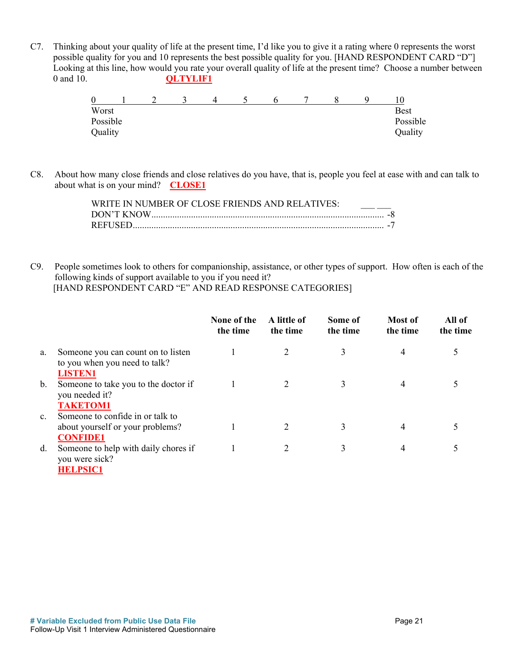C7. Thinking about your quality of life at the present time, I'd like you to give it a rating where 0 represents the worst possible quality for you and 10 represents the best possible quality for you. [HAND RESPONDENT CARD "D"] Looking at this line, how would you rate your overall quality of life at the present time? Choose a number between 0 and 10. **QLTYLIF1**



C8. About how many close friends and close relatives do you have, that is, people you feel at ease with and can talk to about what is on your mind? **CLOSE1**

C9. People sometimes look to others for companionship, assistance, or other types of support. How often is each of the following kinds of support available to you if you need it? [HAND RESPONDENT CARD "E" AND READ RESPONSE CATEGORIES]

|                |                                                                           | None of the<br>the time | A little of<br>the time | Some of<br>the time | Most of<br>the time | All of<br>the time |
|----------------|---------------------------------------------------------------------------|-------------------------|-------------------------|---------------------|---------------------|--------------------|
| a.             | Someone you can count on to listen<br>to you when you need to talk?       |                         |                         | 3                   | 4                   |                    |
| b.             | <b>LISTEN1</b><br>Someone to take you to the doctor if<br>you needed it?  |                         | 2                       | 3                   | 4                   |                    |
| $\mathbf{c}$ . | <b>TAKETOM1</b><br>Someone to confide in or talk to                       |                         | $\mathcal{L}$           |                     |                     |                    |
|                | about yourself or your problems?<br><b>CONFIDE1</b>                       |                         |                         | 3                   | 4                   |                    |
| d.             | Someone to help with daily chores if<br>you were sick?<br><b>HELPSIC1</b> |                         | 2                       | 3                   | 4                   |                    |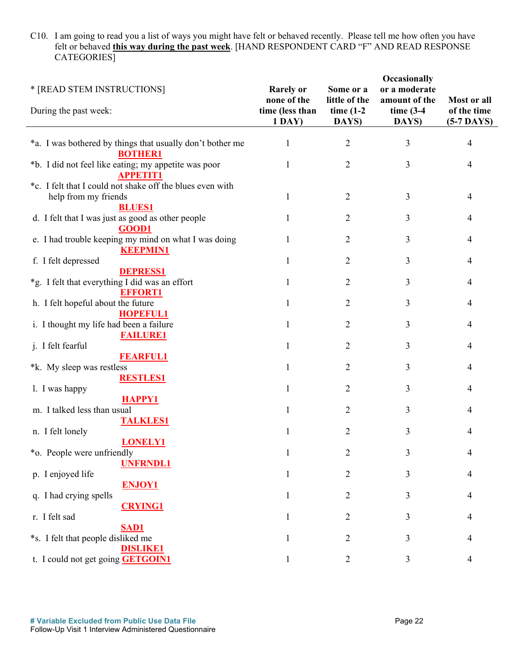C10. I am going to read you a list of ways you might have felt or behaved recently. Please tell me how often you have felt or behaved **this way during the past week**. [HAND RESPONDENT CARD "F" AND READ RESPONSE CATEGORIES]

| * [READ STEM INSTRUCTIONS]<br>During the past week:                                                | <b>Rarely or</b><br>none of the<br>time (less than<br>$1$ DAY) | Some or a<br>little of the<br>time $(1-2)$<br>DAYS) | Occasionally<br>or a moderate<br>amount of the<br>time $(3-4)$<br>DAYS) | Most or all<br>of the time<br>$(5-7$ DAYS) |
|----------------------------------------------------------------------------------------------------|----------------------------------------------------------------|-----------------------------------------------------|-------------------------------------------------------------------------|--------------------------------------------|
| *a. I was bothered by things that usually don't bother me<br><b>BOTHER1</b>                        | 1                                                              | 2                                                   | 3                                                                       | 4                                          |
| *b. I did not feel like eating; my appetite was poor<br><b>APPETIT1</b>                            | 1                                                              | 2                                                   | 3                                                                       | 4                                          |
| *c. I felt that I could not shake off the blues even with<br>help from my friends<br><b>BLUES1</b> | 1                                                              | 2                                                   | 3                                                                       | 4                                          |
| d. I felt that I was just as good as other people<br>GOOD1                                         | 1                                                              | 2                                                   | 3                                                                       | 4                                          |
| e. I had trouble keeping my mind on what I was doing<br><b>KEEPMIN1</b>                            | 1                                                              | 2                                                   | 3                                                                       | 4                                          |
| f. I felt depressed<br><b>DEPRESS1</b>                                                             | 1                                                              | 2                                                   | 3                                                                       | 4                                          |
| *g. I felt that everything I did was an effort<br><b>EFFORT1</b>                                   | 1                                                              | 2                                                   | 3                                                                       | 4                                          |
| h. I felt hopeful about the future<br><b>HOPEFUL1</b>                                              | 1                                                              | 2                                                   | 3                                                                       | 4                                          |
| i. I thought my life had been a failure<br><b>FAILURE1</b>                                         | 1                                                              | 2                                                   | 3                                                                       | 4                                          |
| j. I felt fearful<br><b>FEARFUL1</b>                                                               | 1                                                              | 2                                                   | 3                                                                       | 4                                          |
| *k. My sleep was restless<br><b>RESTLES1</b>                                                       | 1                                                              | 2                                                   | 3                                                                       | 4                                          |
| 1. I was happy<br><b>HAPPY1</b>                                                                    | 1                                                              | 2                                                   | 3                                                                       | 4                                          |
| m. I talked less than usual<br><b>TALKLES1</b>                                                     | 1                                                              | 2                                                   | 3                                                                       | 4                                          |
| n. I felt lonely<br><b>LONELY1</b>                                                                 | 1                                                              | 2                                                   | 3                                                                       | 4                                          |
| *o. People were unfriendly<br><b>UNFRNDL1</b>                                                      | $\mathbf{1}$                                                   |                                                     | 3                                                                       |                                            |
| p. I enjoyed life<br><b>ENJOY1</b>                                                                 | $\mathbf{1}$                                                   | $\overline{2}$                                      | $\overline{\mathbf{3}}$                                                 | 4                                          |
| q. I had crying spells<br><b>CRYING1</b>                                                           | $\mathbf{1}$                                                   | $\overline{2}$                                      | 3                                                                       | 4                                          |
| r. I felt sad<br><b>SAD1</b>                                                                       | 1                                                              | $\overline{c}$                                      | 3                                                                       | 4                                          |
| *s. I felt that people disliked me<br><b>DISLIKE1</b>                                              | 1                                                              | 2                                                   | 3                                                                       | 4                                          |
| t. I could not get going <b>GETGOIN1</b>                                                           | $\mathbf{1}$                                                   | 2                                                   | 3                                                                       | 4                                          |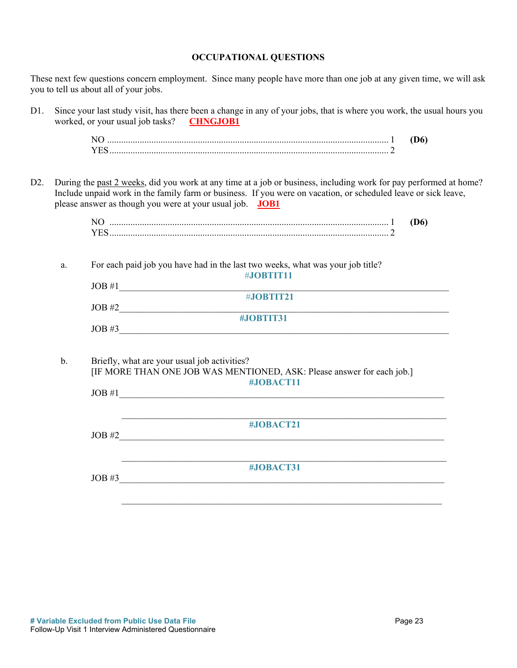### **OCCUPATIONAL QUESTIONS**

These next few questions concern employment. Since many people have more than one job at any given time, we will ask you to tell us about all of your jobs.

D1. Since your last study visit, has there been a change in any of your jobs, that is where you work, the usual hours you worked, or your usual job tasks? **CHNGJOB1**

D2. During the past 2 weeks, did you work at any time at a job or business, including work for pay performed at home? Include unpaid work in the family farm or business. If you were on vacation, or scheduled leave or sick leave, please answer as though you were at your usual job. **JOB1**

a. For each paid job you have had in the last two weeks, what was your job title? #**JOBTIT11**

| $JOB \#1$ |                  |  |
|-----------|------------------|--|
|           | #JOBTIT21        |  |
| $JOB \#2$ |                  |  |
|           | <b>#JOBTIT31</b> |  |
| $JOB \#3$ |                  |  |

b. Briefly, what are your usual job activities? [IF MORE THAN ONE JOB WAS MENTIONED, ASK: Please answer for each job.] **#JOBACT11**

 $JOB #1$ 

**#JOBACT21**

 $\mathcal{L}_\text{max} = \mathcal{L}_\text{max} = \mathcal{L}_\text{max} = \mathcal{L}_\text{max} = \mathcal{L}_\text{max} = \mathcal{L}_\text{max} = \mathcal{L}_\text{max} = \mathcal{L}_\text{max} = \mathcal{L}_\text{max} = \mathcal{L}_\text{max} = \mathcal{L}_\text{max} = \mathcal{L}_\text{max} = \mathcal{L}_\text{max} = \mathcal{L}_\text{max} = \mathcal{L}_\text{max} = \mathcal{L}_\text{max} = \mathcal{L}_\text{max} = \mathcal{L}_\text{max} = \mathcal{$ 

 $JOB \#2$ 

**#JOBACT31**

 $JOB \#3$ 

 $\mathcal{L}_\text{max}$  and  $\mathcal{L}_\text{max}$  and  $\mathcal{L}_\text{max}$  and  $\mathcal{L}_\text{max}$  and  $\mathcal{L}_\text{max}$  and  $\mathcal{L}_\text{max}$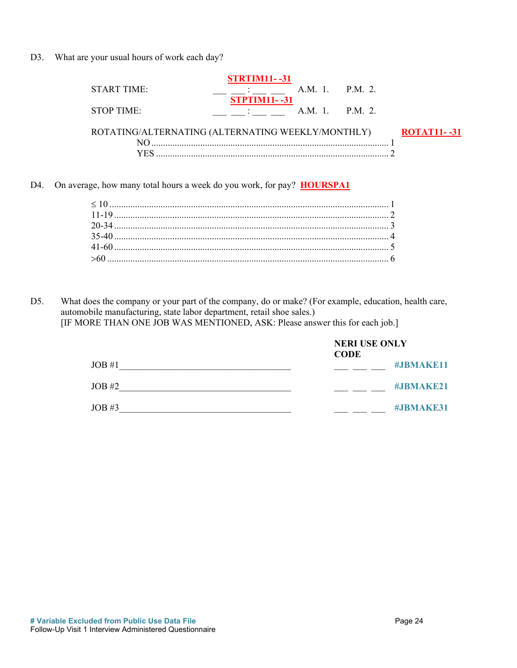### D3. What are your usual hours of work each day?

|                   | <b>STRTIM11--31</b>                               |                    |
|-------------------|---------------------------------------------------|--------------------|
| START TIME:       | A.M. 1. P.M. 2.                                   |                    |
|                   | <b>STPTIM11-31</b>                                |                    |
| <b>STOP TIME:</b> | $A.M. 1.$ P.M. 2.                                 |                    |
|                   |                                                   |                    |
|                   | ROTATING/ALTERNATING (ALTERNATING WEEKLY/MONTHLY) | <b>ROTAT11--31</b> |
|                   |                                                   |                    |
|                   |                                                   |                    |

D4. On average, how many total hours a week do you work, for pay? **HOURSPA1**

D5. What does the company or your part of the company, do or make? (For example, education, health care, automobile manufacturing, state labor department, retail shoe sales.) [IF MORE THAN ONE JOB WAS MENTIONED, ASK: Please answer this for each job.]

|           | <b>NERI USE ONLY</b><br><b>CODE</b> |  |  |  |
|-----------|-------------------------------------|--|--|--|
| $JOB \#1$ | <b>#JBMAKE11</b>                    |  |  |  |
| JOB#2     | <b>#JBMAKE21</b>                    |  |  |  |
| $JOB \#3$ | <b>#JBMAKE31</b>                    |  |  |  |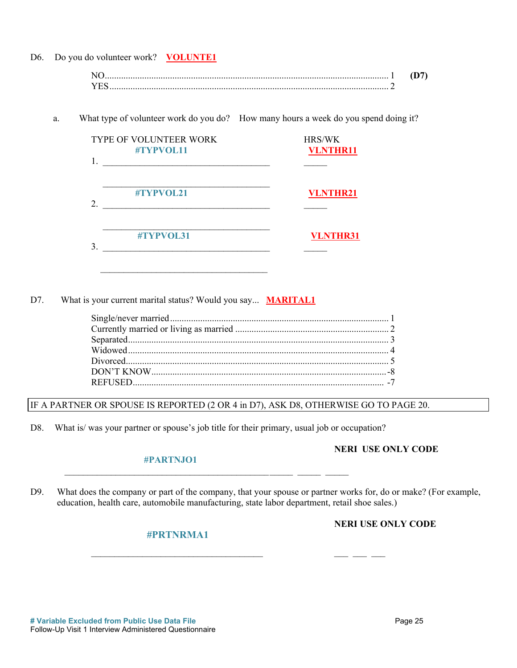D6. Do you do volunteer work? **VOLUNTE1**

NO.......................................................................................................................... 1 **(D7)** YES........................................................................................................................ 2

TYPE OF VOLUNTEER WORK HRS/WK **#TYPVOL11 VLNTHR11** 1. \_\_\_\_\_\_\_\_\_\_\_\_\_\_\_\_\_\_\_\_\_\_\_\_\_\_\_\_\_\_\_\_\_\_\_\_ \_\_\_\_\_  $\frac{1}{\sqrt{2}}$  ,  $\frac{1}{\sqrt{2}}$  ,  $\frac{1}{\sqrt{2}}$  ,  $\frac{1}{\sqrt{2}}$  ,  $\frac{1}{\sqrt{2}}$  ,  $\frac{1}{\sqrt{2}}$  ,  $\frac{1}{\sqrt{2}}$  ,  $\frac{1}{\sqrt{2}}$  ,  $\frac{1}{\sqrt{2}}$  ,  $\frac{1}{\sqrt{2}}$  ,  $\frac{1}{\sqrt{2}}$  ,  $\frac{1}{\sqrt{2}}$  ,  $\frac{1}{\sqrt{2}}$  ,  $\frac{1}{\sqrt{2}}$  ,  $\frac{1}{\sqrt{2}}$  **#TYPVOL21 VLNTHR21** 2. \_\_\_\_\_\_\_\_\_\_\_\_\_\_\_\_\_\_\_\_\_\_\_\_\_\_\_\_\_\_\_\_\_\_\_\_ \_\_\_\_\_  $\mathcal{L}_\text{max}$  , and the set of the set of the set of the set of the set of the set of the set of the set of the set of the set of the set of the set of the set of the set of the set of the set of the set of the set of the **#TYPVOL31 VLNTHR31** 3. <u>\_\_\_\_\_\_\_\_\_\_\_\_\_\_\_\_\_\_\_\_\_\_\_\_\_\_\_\_\_</u>

a. What type of volunteer work do you do? How many hours a week do you spend doing it?

D7. What is your current marital status? Would you say... **MARITAL1**

 $\mathcal{L}_\text{max}$  , and the set of the set of the set of the set of the set of the set of the set of the set of the set of the set of the set of the set of the set of the set of the set of the set of the set of the set of the

### IF A PARTNER OR SPOUSE IS REPORTED (2 OR 4 in D7), ASK D8, OTHERWISE GO TO PAGE 20.

D8. What is/ was your partner or spouse's job title for their primary, usual job or occupation?

#### **NERI USE ONLY CODE**

### D9. What does the company or part of the company, that your spouse or partner works for, do or make? (For example, education, health care, automobile manufacturing, state labor department, retail shoe sales.)

\_\_\_\_\_\_\_\_\_\_\_\_\_\_\_\_\_\_\_\_\_\_\_\_\_\_\_\_\_\_\_\_\_\_\_\_\_ \_\_\_ \_\_\_ \_\_\_

### **NERI USE ONLY CODE**

 **#PRTNRMA1**

**#PARTNJO1**

 $\_$  ,  $\_$  ,  $\_$  ,  $\_$  ,  $\_$  ,  $\_$  ,  $\_$  ,  $\_$  ,  $\_$  ,  $\_$  ,  $\_$  ,  $\_$  ,  $\_$  ,  $\_$  ,  $\_$  ,  $\_$  ,  $\_$  ,  $\_$  ,  $\_$  ,  $\_$  ,  $\_$  ,  $\_$  ,  $\_$  ,  $\_$  ,  $\_$  ,  $\_$  ,  $\_$  ,  $\_$  ,  $\_$  ,  $\_$  ,  $\_$  ,  $\_$  ,  $\_$  ,  $\_$  ,  $\_$  ,  $\_$  ,  $\_$  ,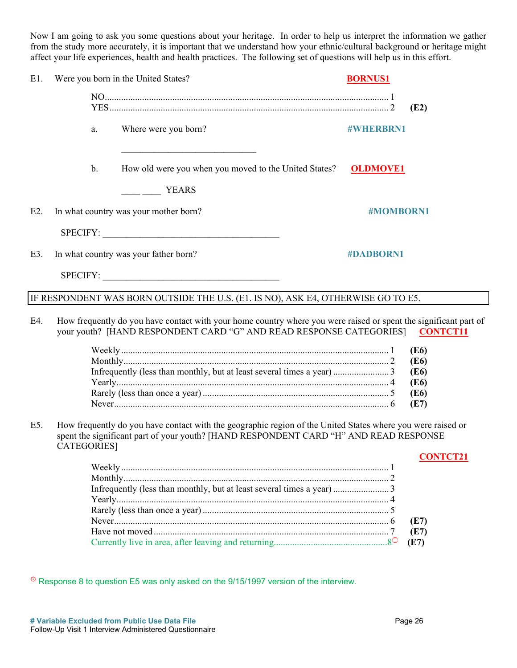Now I am going to ask you some questions about your heritage. In order to help us interpret the information we gather from the study more accurately, it is important that we understand how your ethnic/cultural background or heritage might affect your life experiences, health and health practices. The following set of questions will help us in this effort.

| E1. |             | Were you born in the United States?                                                                                                                                                                  | <b>BORNUS1</b>   |                 |
|-----|-------------|------------------------------------------------------------------------------------------------------------------------------------------------------------------------------------------------------|------------------|-----------------|
|     |             |                                                                                                                                                                                                      |                  |                 |
|     |             |                                                                                                                                                                                                      |                  | (E2)            |
|     | a.          | Where were you born?                                                                                                                                                                                 | <b>#WHERBRN1</b> |                 |
|     | b.          | How old were you when you moved to the United States?                                                                                                                                                | <b>OLDMOVE1</b>  |                 |
|     |             | $\frac{1}{2}$ YEARS                                                                                                                                                                                  |                  |                 |
| E2. |             | In what country was your mother born?                                                                                                                                                                | #MOMBORN1        |                 |
|     |             |                                                                                                                                                                                                      |                  |                 |
| E3. |             | In what country was your father born?                                                                                                                                                                | <b>#DADBORN1</b> |                 |
|     |             | SPECIFY:                                                                                                                                                                                             |                  |                 |
|     |             | IF RESPONDENT WAS BORN OUTSIDE THE U.S. (E1. IS NO), ASK E4, OTHERWISE GO TO E5.                                                                                                                     |                  |                 |
|     |             |                                                                                                                                                                                                      |                  |                 |
| E4. |             | How frequently do you have contact with your home country where you were raised or spent the significant part of<br>your youth? [HAND RESPONDENT CARD "G" AND READ RESPONSE CATEGORIES] CONTCT11     |                  |                 |
|     |             |                                                                                                                                                                                                      |                  | <b>(E6)</b>     |
|     |             |                                                                                                                                                                                                      |                  | <b>(E6)</b>     |
|     |             |                                                                                                                                                                                                      |                  | <b>(E6)</b>     |
|     |             |                                                                                                                                                                                                      |                  | (E6)            |
|     |             |                                                                                                                                                                                                      |                  | <b>(E6)</b>     |
|     |             |                                                                                                                                                                                                      |                  | (E7)            |
| E5. | CATEGORIES] | How frequently do you have contact with the geographic region of the United States where you were raised or<br>spent the significant part of your youth? [HAND RESPONDENT CARD "H" AND READ RESPONSE |                  |                 |
|     |             |                                                                                                                                                                                                      |                  | <b>CONTCT21</b> |
|     |             |                                                                                                                                                                                                      |                  |                 |
|     |             |                                                                                                                                                                                                      |                  |                 |
|     |             |                                                                                                                                                                                                      |                  |                 |
|     |             |                                                                                                                                                                                                      |                  |                 |
|     |             |                                                                                                                                                                                                      |                  |                 |
|     |             |                                                                                                                                                                                                      |                  | (E7)            |
|     |             |                                                                                                                                                                                                      |                  | (E7)            |
|     |             |                                                                                                                                                                                                      |                  | (E7)            |

 $\textcircled{e}$  Response 8 to question E5 was only asked on the 9/15/1997 version of the interview.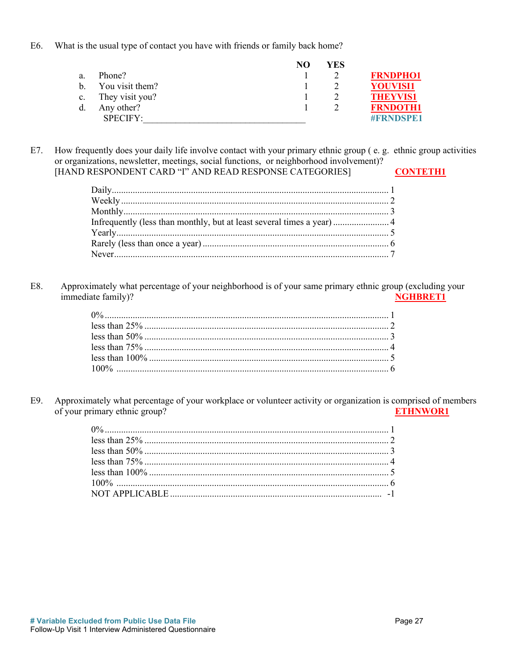E6. What is the usual type of contact you have with friends or family back home?

|             |                 | NO. | YES |                  |
|-------------|-----------------|-----|-----|------------------|
| a.          | Phone?          |     |     | <b>FRNDPHO1</b>  |
| $b_{1}$     | You visit them? |     |     | <b>YOUVISI1</b>  |
| c.          | They visit you? |     |     | <b>THEYVIS1</b>  |
| $d_{\cdot}$ | Any other?      |     |     | <b>FRNDOTH1</b>  |
|             | <b>SPECIFY:</b> |     |     | <b>#FRNDSPE1</b> |

E7. How frequently does your daily life involve contact with your primary ethnic group ( e. g. ethnic group activities or organizations, newsletter, meetings, social functions, or neighborhood involvement)?<br>[HAND RESPONDENT GARD #1] AND READ RESPONSE GATEGORIES]

| [HAND RESPONDENT CARD "I" AND READ RESPONSE CATEGORIES] | <b>CONTETH1</b> |
|---------------------------------------------------------|-----------------|
|                                                         |                 |
|                                                         |                 |
|                                                         |                 |
|                                                         |                 |
|                                                         |                 |
|                                                         |                 |
|                                                         |                 |

E8. Approximately what percentage of your neighborhood is of your same primary ethnic group (excluding your immediate family)? **NGHBRET1** 

E9. Approximately what percentage of your workplace or volunteer activity or organization is comprised of members of your primary ethnic group? **ETHNWOR1**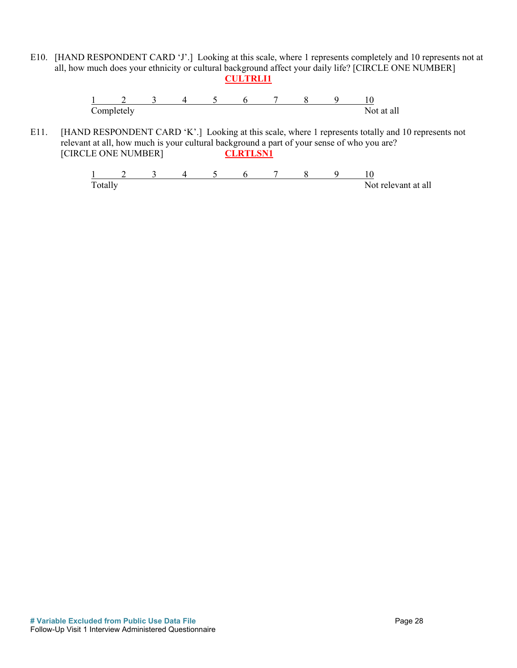E10. [HAND RESPONDENT CARD 'J'.] Looking at this scale, where 1 represents completely and 10 represents not at all, how much does your ethnicity or cultural background affect your daily life? [CIRCLE ONE NUMBER] **CULTRLI1**

> 1 2 3 4 5 6 7 8 9 10 Completely Not at all

E11. [HAND RESPONDENT CARD 'K'.] Looking at this scale, where 1 represents totally and 10 represents not relevant at all, how much is your cultural background a part of your sense of who you are?<br>[CIRCLE ONE NUMBER] **CLRTLSN1** [CIRCLE ONE NUMBER]

| $\mathbf{r}$<br>Totally |  |  |  |  | Not relevant at all |
|-------------------------|--|--|--|--|---------------------|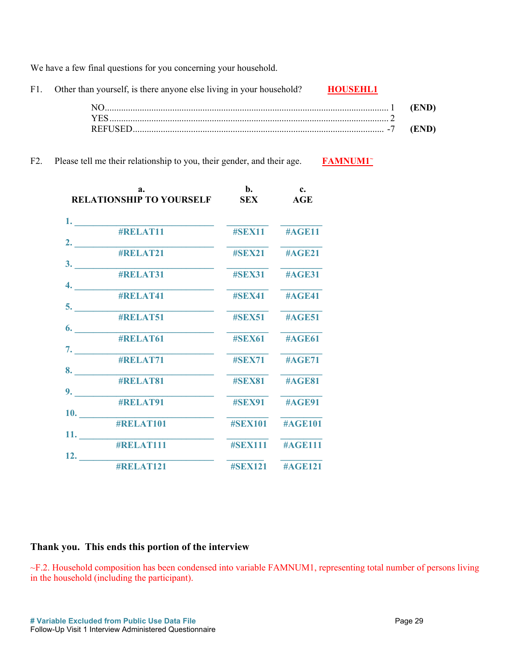We have a few final questions for you concerning your household.

| F1. Other than yourself, is there anyone else living in your household? <b>HOUSEHL1</b> |       |
|-----------------------------------------------------------------------------------------|-------|
|                                                                                         | (END) |
|                                                                                         |       |
|                                                                                         | (END) |

F2. Please tell me their relationship to you, their gender, and their age. **FAMNUM1**<sup> $\sim$ </sup>

| $\mathbf{a}$ .<br><b>RELATIONSHIP TO YOURSELF SEX</b> | $\mathbf{b}$ .         | $\mathbf{c}$ .<br>AGE |  |
|-------------------------------------------------------|------------------------|-----------------------|--|
|                                                       |                        |                       |  |
| 1.                                                    |                        |                       |  |
| <b>#RELAT11</b>                                       |                        | $\#$ SEX11 $\#$ AGE11 |  |
| 2. $\qquad \qquad$<br><b>#RELAT21</b>                 | <b>#SEX21 #AGE21</b>   |                       |  |
| 3.                                                    |                        |                       |  |
| <b>#RELAT31</b><br>4. $\qquad \qquad$                 | <b>#SEX31 #AGE31</b>   |                       |  |
| <b>#RELAT41</b>                                       |                        | $\#$ SEX41 $\#$ AGE41 |  |
| 5.<br><b>#RELAT51</b>                                 |                        | #SEX51 #AGE51         |  |
| 6.                                                    |                        |                       |  |
| <b>#RELAT61</b>                                       |                        | #SEX61 #AGE61         |  |
| 7.<br><b>#RELAT71</b>                                 | #SEX71 #AGE71          |                       |  |
| 8.                                                    |                        |                       |  |
| <b>#RELAT81</b>                                       | #SEX81 #AGE81          |                       |  |
| 9.<br><b>#RELAT91</b>                                 |                        | #SEX91 #AGE91         |  |
| 10.                                                   |                        |                       |  |
| <b>#RELAT101</b>                                      |                        | #SEX101 #AGE101       |  |
| 11.<br><b>#RELAT111</b>                               | <b>#SEX111</b> #AGE111 |                       |  |
| 12. $\qquad \qquad$                                   |                        |                       |  |
| <b>#RELAT121</b>                                      |                        | #SEX121 #AGE121       |  |

### **Thank you. This ends this portion of the interview**

~F.2. Household composition has been condensed into variable FAMNUM1, representing total number of persons living in the household (including the participant).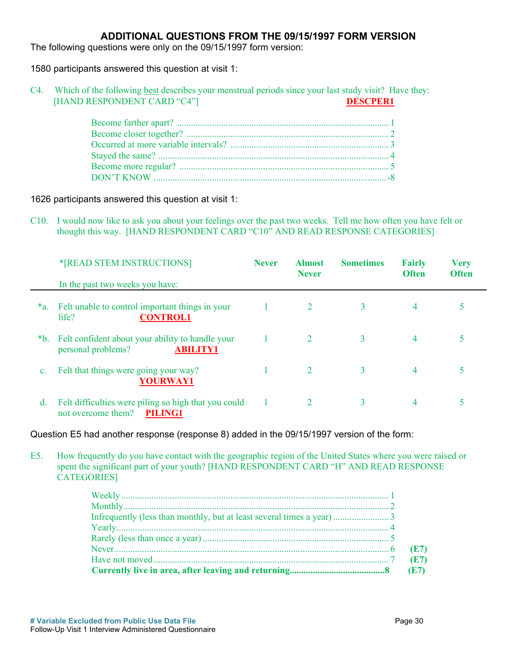### **ADDITIONAL QUESTIONS FROM THE 09/15/1997 FORM VERSION**

The following questions were only on the 09/15/1997 form version:

1580 participants answered this question at visit 1:

C4. Which of the following best describes your menstrual periods since your last study visit? Have they: [HAND RESPONDENT CARD "C4"] **DESCPER1**

### 1626 participants answered this question at visit 1:

C10. I would now like to ask you about your feelings over the past two weeks. Tell me how often you have felt or thought this way. [HAND RESPONDENT CARD "C10" AND READ RESPONSE CATEGORIES]

|                | *[READ STEM INSTRUCTIONS]                                                                            | <b>Never</b> | <b>Almost</b><br><b>Never</b> | <b>Sometimes</b> | <b>Fairly</b><br><b>Often</b> | <b>Very</b><br><b>Often</b> |  |
|----------------|------------------------------------------------------------------------------------------------------|--------------|-------------------------------|------------------|-------------------------------|-----------------------------|--|
|                | In the past two weeks you have:                                                                      |              |                               |                  |                               |                             |  |
| $a^*a$ .       | Felt unable to control important things in your<br><b>CONTROL1</b><br>life?                          |              |                               | 3                | 4                             |                             |  |
| $*b$ .         | Felt confident about your ability to handle your<br><b>ABILITY1</b><br>personal problems?            |              | 2                             | 3                | 4                             |                             |  |
| $\mathbf{c}$ . | Felt that things were going your way?<br><b>YOURWAY1</b>                                             |              |                               | 3                | 4                             |                             |  |
| $d_{\cdot}$    | <b>Felt difficulties were piling so high that you could:</b><br>not overcome them?<br><b>PILING1</b> |              |                               | 3                | 4                             |                             |  |

Question E5 had another response (response 8) added in the 09/15/1997 version of the form:

E5. How frequently do you have contact with the geographic region of the United States where you were raised or spent the significant part of your youth? [HAND RESPONDENT CARD "H" AND READ RESPONSE CATEGORIES]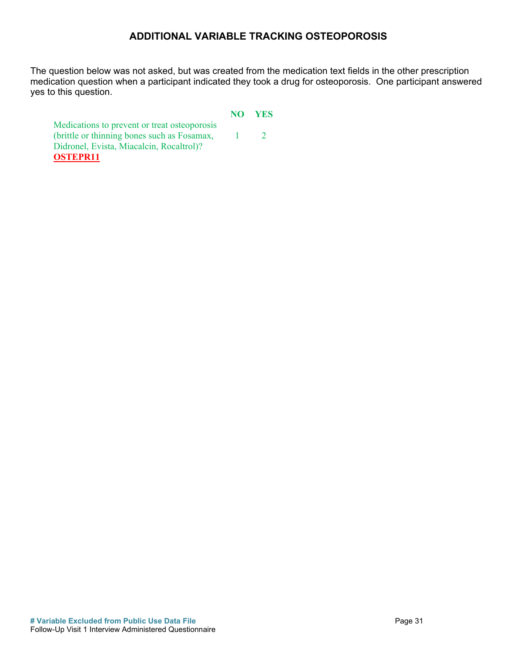### **ADDITIONAL VARIABLE TRACKING OSTEOPOROSIS**

The question below was not asked, but was created from the medication text fields in the other prescription medication question when a participant indicated they took a drug for osteoporosis. One participant answered yes to this question.

**NO YES**

Medications to prevent or treat osteoporosis (brittle or thinning bones such as Fosamax, Didronel, Evista, Miacalcin, Rocaltrol)? **OSTEPR11** 1 2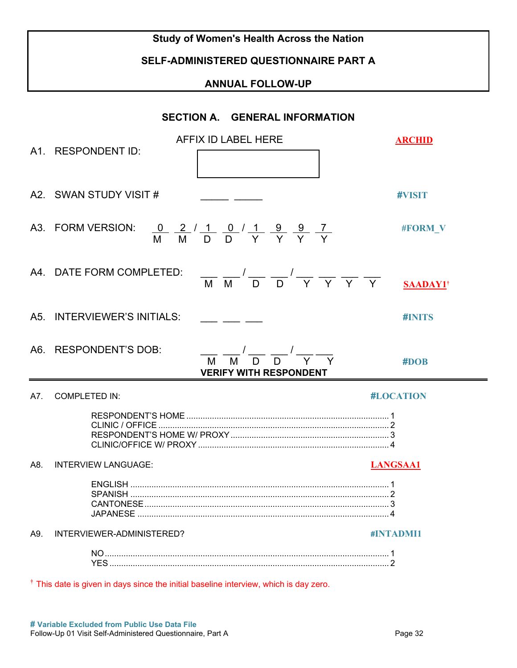### **Study of Women's Health Across the Nation**

### **SELF-ADMINISTERED QUESTIONNAIRE PART A**

### **ANNUAL FOLLOW-UP**

### **SECTION A. GENERAL INFORMATION**

|     | AFFIX ID LABEL HERE<br>A1. RESPONDENT ID:                                                                                                                                                        | <b>ARCHID</b>               |
|-----|--------------------------------------------------------------------------------------------------------------------------------------------------------------------------------------------------|-----------------------------|
|     | A2. SWAN STUDY VISIT #                                                                                                                                                                           | #VISIT                      |
|     | A3. FORM VERSION: $\frac{0}{M}$ $\frac{2}{M}$ $\frac{1}{D}$ $\frac{0}{D}$ $\frac{1}{Y}$ $\frac{9}{Y}$ $\frac{9}{Y}$ $\frac{7}{Y}$                                                                | #FORM V                     |
|     | A4. DATE FORM COMPLETED:<br>$\frac{1}{M} \frac{1}{M} \frac{1}{D} \frac{1}{D} \frac{1}{N} \frac{1}{N} \frac{1}{N} \frac{1}{N}$                                                                    | <b>SAADAY1</b> <sup>†</sup> |
|     | A5. INTERVIEWER'S INITIALS:                                                                                                                                                                      | <b>#INITS</b>               |
|     | A6. RESPONDENT'S DOB:<br>$\frac{1}{\sqrt{M}} \frac{1}{\sqrt{M}} \frac{1}{\sqrt{M}} \frac{1}{\sqrt{M}} \frac{1}{\sqrt{M}} \frac{1}{\sqrt{M}} \frac{1}{\sqrt{M}}$<br><b>VERIFY WITH RESPONDENT</b> | #DOB                        |
| A7. | <b>COMPLETED IN:</b>                                                                                                                                                                             | <b>#LOCATION</b>            |
|     |                                                                                                                                                                                                  |                             |
| A8. | <b>INTERVIEW LANGUAGE:</b>                                                                                                                                                                       | <b>LANGSAA1</b>             |
|     | <b>SPANISH</b>                                                                                                                                                                                   |                             |
| A9. | INTERVIEWER-ADMINISTERED?                                                                                                                                                                        | #INTADMI1                   |
|     |                                                                                                                                                                                                  |                             |

**†** This date is given in days since the initial baseline interview, which is day zero.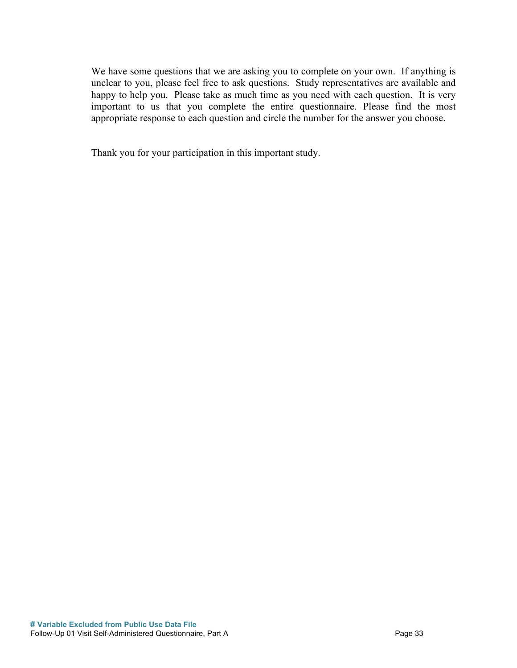We have some questions that we are asking you to complete on your own. If anything is unclear to you, please feel free to ask questions. Study representatives are available and happy to help you. Please take as much time as you need with each question. It is very important to us that you complete the entire questionnaire. Please find the most appropriate response to each question and circle the number for the answer you choose.

Thank you for your participation in this important study.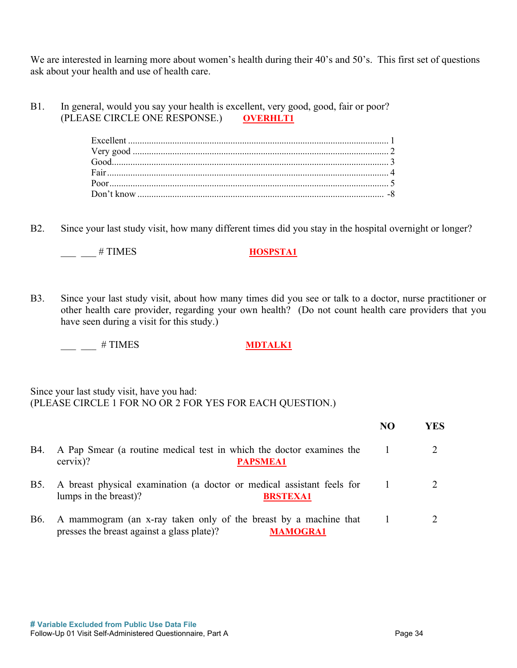We are interested in learning more about women's health during their 40's and 50's. This first set of questions ask about your health and use of health care.

B1. In general, would you say your health is excellent, very good, good, fair or poor? (PLEASE CIRCLE ONE RESPONSE.) **OVERHLT1**

B2. Since your last study visit, how many different times did you stay in the hospital overnight or longer?

- $HOSPSTA1$
- B3. Since your last study visit, about how many times did you see or talk to a doctor, nurse practitioner or other health care provider, regarding your own health? (Do not count health care providers that you have seen during a visit for this study.)
	- \_\_\_ \_\_\_ # TIMES **MDTALK1**

Since your last study visit, have you had: (PLEASE CIRCLE 1 FOR NO OR 2 FOR YES FOR EACH QUESTION.)

|            |                                                                                                                                   | NO | YES. |
|------------|-----------------------------------------------------------------------------------------------------------------------------------|----|------|
| B4.        | A Pap Smear (a routine medical test in which the doctor examines the<br>$cervix$ ?<br><b>PAPSMEA1</b>                             |    |      |
| B5.        | A breast physical examination (a doctor or medical assistant feels for<br>lumps in the breast)?<br><b>BRSTEXA1</b>                |    |      |
| <b>B6.</b> | A mammogram (an x-ray taken only of the breast by a machine that<br>presses the breast against a glass plate)?<br><b>MAMOGRA1</b> |    |      |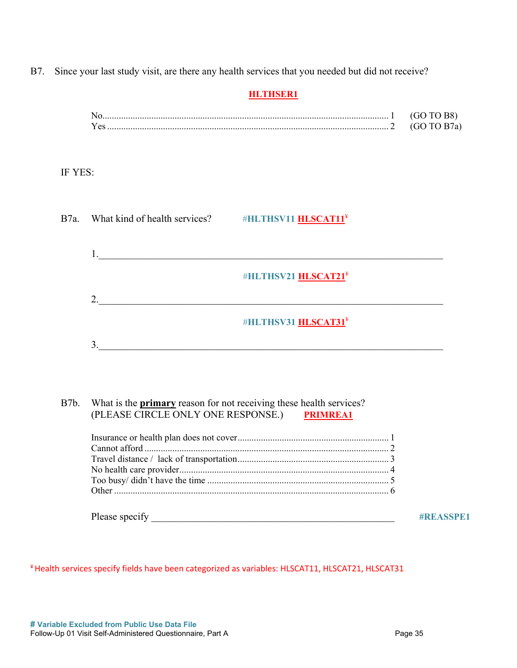B7. Since your last study visit, are there any health services that you needed but did not receive?

### **HLTHSER1**

| N. | <b>GO TO B8</b> |
|----|-----------------|
|    | (GO TO B7a)     |

### IF YES:

| $B7a$ . | What kind of health services? #HLTHSV11 <b>HLSCAT11</b> *                                                                 |                                 |
|---------|---------------------------------------------------------------------------------------------------------------------------|---------------------------------|
|         |                                                                                                                           |                                 |
|         |                                                                                                                           | #HLTHSV21 HLSCAT21 <sup>¥</sup> |
|         | 2. $\overline{\phantom{a}}$                                                                                               |                                 |
|         |                                                                                                                           | #HLTHSV31 HLSCAT31 <sup>¥</sup> |
|         | $\frac{3}{2}$                                                                                                             |                                 |
|         |                                                                                                                           |                                 |
| B7b.    | What is the <b>primary</b> reason for not receiving these health services?<br>(PLEASE CIRCLE ONLY ONE RESPONSE.) PRIMREA1 |                                 |
|         |                                                                                                                           |                                 |
|         |                                                                                                                           |                                 |
|         |                                                                                                                           |                                 |
|         |                                                                                                                           |                                 |
|         |                                                                                                                           |                                 |
|         |                                                                                                                           |                                 |

¥ Health services specify fields have been categorized as variables: HLSCAT11, HLSCAT21, HLSCAT31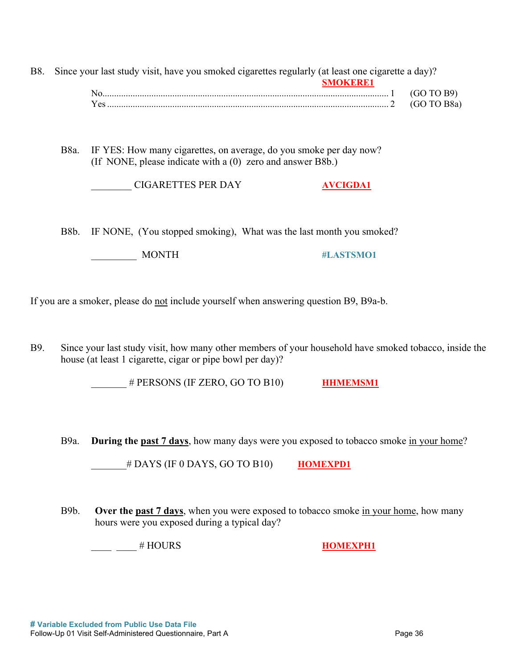B8. Since your last study visit, have you smoked cigarettes regularly (at least one cigarette a day)? **SMOKERE1** No........................................................................................................................... 1 (GO TO B9) Yes......................................................................................................................... 2 (GO TO B8a)

B8a. IF YES: How many cigarettes, on average, do you smoke per day now? (If NONE, please indicate with a (0) zero and answer B8b.)

\_\_\_\_\_\_\_\_ CIGARETTES PER DAY **AVCIGDA1**

B8b. IF NONE, (You stopped smoking), What was the last month you smoked?

\_\_\_\_\_\_\_\_\_ MONTH **#LASTSMO1**

If you are a smoker, please do not include yourself when answering question B9, B9a-b.

B9. Since your last study visit, how many other members of your household have smoked tobacco, inside the house (at least 1 cigarette, cigar or pipe bowl per day)?

# PERSONS (IF ZERO, GO TO B10) **HHMEMSM1** 

B9a. **During the past 7 days**, how many days were you exposed to tobacco smoke in your home?

\_\_\_\_\_\_\_# DAYS (IF 0 DAYS, GO TO B10) **HOMEXPD1**

B9b. **Over the past 7 days**, when you were exposed to tobacco smoke in your home, how many hours were you exposed during a typical day?

**All 2000 EXAMPLE 2000 EXAMPLE 2000 EXAMPLE 2000 EXAMPLE 2000 EXAMPLE 2000 EXAMPLE 2000 EXAMPLE 2000**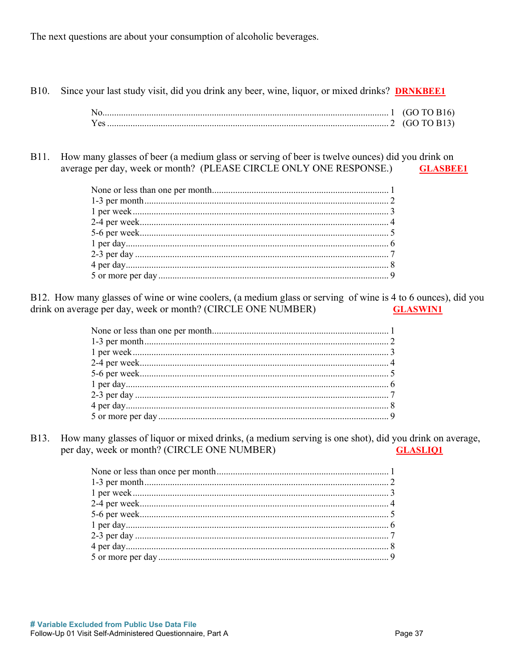The next questions are about your consumption of alcoholic beverages.

Since your last study visit, did you drink any beer, wine, liquor, or mixed drinks? DRNKBEE1 **B10.** 

How many glasses of beer (a medium glass or serving of beer is twelve ounces) did you drink on **B11.** average per day, week or month? (PLEASE CIRCLE ONLY ONE RESPONSE.) **GLASBEE1** 

B12. How many glasses of wine or wine coolers, (a medium glass or serving of wine is 4 to 6 ounces), did you drink on average per day, week or month? (CIRCLE ONE NUMBER) **GLASWIN1** 

How many glasses of liquor or mixed drinks, (a medium serving is one shot), did you drink on average, B13. per day, week or month? (CIRCLE ONE NUMBER) **GLASLIQ1**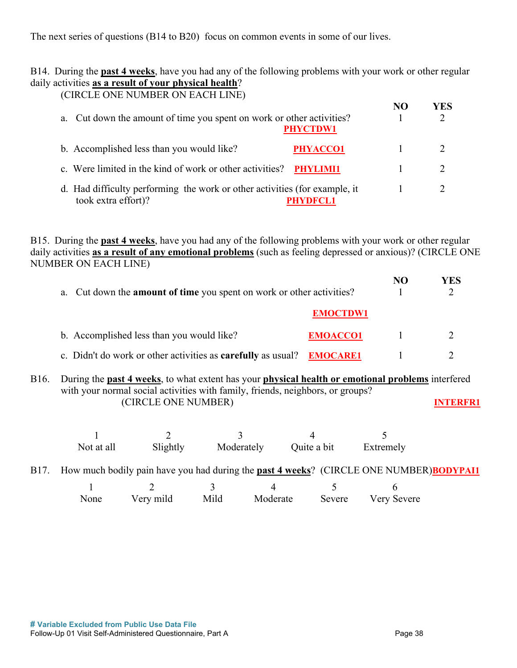The next series of questions (B14 to B20) focus on common events in some of our lives.

B14. During the **past 4 weeks**, have you had any of the following problems with your work or other regular daily activities **as a result of your physical health**?

| (CIRCLE ONE NUMBER ON EACH LINE)                                                         |
|------------------------------------------------------------------------------------------|
| a. Cut down the amount of time you spent on work or other activities?<br><b>PHYCTDW1</b> |

| b. Accomplished less than you would like?                                                         | PHYACCO1        |  |
|---------------------------------------------------------------------------------------------------|-----------------|--|
| c. Were limited in the kind of work or other activities? PHYLIMI1                                 |                 |  |
| d. Had difficulty performing the work or other activities (for example, it<br>took extra effort)? | <b>PHYDFCL1</b> |  |

B15. During the **past 4 weeks**, have you had any of the following problems with your work or other regular daily activities **as a result of any emotional problems** (such as feeling depressed or anxious)? (CIRCLE ONE NUMBER ON EACH LINE)

|                   |                 | a. Cut down the <b>amount of time</b> you spent on work or other activities?                                                                                                                               |      |                 |                               | N <sub>O</sub> | YES<br>2        |
|-------------------|-----------------|------------------------------------------------------------------------------------------------------------------------------------------------------------------------------------------------------------|------|-----------------|-------------------------------|----------------|-----------------|
|                   |                 |                                                                                                                                                                                                            |      |                 | <b>EMOCTDW1</b>               |                |                 |
|                   |                 | b. Accomplished less than you would like?                                                                                                                                                                  |      |                 | <b>EMOACCO1</b>               |                |                 |
|                   |                 | c. Didn't do work or other activities as <b>carefully</b> as usual?                                                                                                                                        |      |                 | <b>EMOCARE1</b>               |                | 2               |
| B <sub>16</sub> . |                 | During the past 4 weeks, to what extent has your physical health or emotional problems interfered<br>with your normal social activities with family, friends, neighbors, or groups?<br>(CIRCLE ONE NUMBER) |      |                 |                               |                | <b>INTERFR1</b> |
|                   | 1<br>Not at all | 2<br>Slightly                                                                                                                                                                                              |      | 3<br>Moderately | $\overline{4}$<br>Quite a bit | 5<br>Extremely |                 |
| B17.              |                 | How much bodily pain have you had during the past 4 weeks? (CIRCLE ONE NUMBER)BODYPAI1                                                                                                                     |      |                 |                               |                |                 |
|                   |                 |                                                                                                                                                                                                            | 3    | 4               | 5                             |                |                 |
|                   | None            | Very mild                                                                                                                                                                                                  | Mild | Moderate        | Severe                        | Very Severe    |                 |

**NO YES**

 $\mathbf{1}$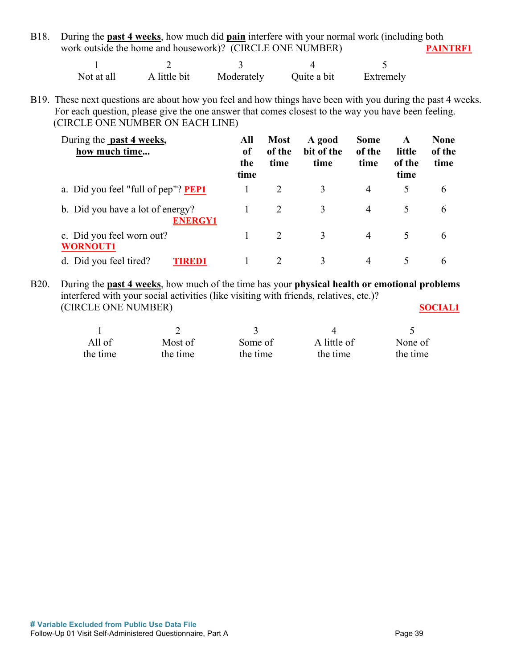B18. During the **past 4 weeks**, how much did **pain** interfere with your normal work (including both work outside the home and housework)? **(CIRCLE ONE NUMBER) PAINTRF1** 

| Not at all | A little bit | Moderately | Quite a bit | Extremely |
|------------|--------------|------------|-------------|-----------|

B19. These next questions are about how you feel and how things have been with you during the past 4 weeks. For each question, please give the one answer that comes closest to the way you have been feeling. (CIRCLE ONE NUMBER ON EACH LINE)

| During the <b>past 4 weeks</b> ,<br>how much time  | All<br>0f<br>the<br>time | <b>Most</b><br>of the<br>time | A good<br>bit of the<br>time | <b>Some</b><br>of the<br>time | A<br>little<br>of the<br>time | <b>None</b><br>of the<br>time |
|----------------------------------------------------|--------------------------|-------------------------------|------------------------------|-------------------------------|-------------------------------|-------------------------------|
| a. Did you feel "full of pep"? <b>PEP1</b>         |                          | 2                             | 3                            | 4                             | 5                             | 6                             |
| b. Did you have a lot of energy?<br><b>ENERGY1</b> |                          | 2                             | 3                            | $\overline{4}$                | 5                             | 6                             |
| c. Did you feel worn out?<br><b>WORNOUT1</b>       |                          | 2                             | 3                            | 4                             | 5                             | 6                             |
| d. Did you feel tired?<br><b>TIRED1</b>            |                          |                               |                              | 4                             |                               | 6                             |

B20. During the **past 4 weeks**, how much of the time has your **physical health or emotional problems**  interfered with your social activities (like visiting with friends, relatives, etc.)? (CIRCLE ONE NUMBER) **SOCIAL1**

| All of   | Most of  | Some of  | A little of | None of  |
|----------|----------|----------|-------------|----------|
| the time | the time | the time | the time    | the time |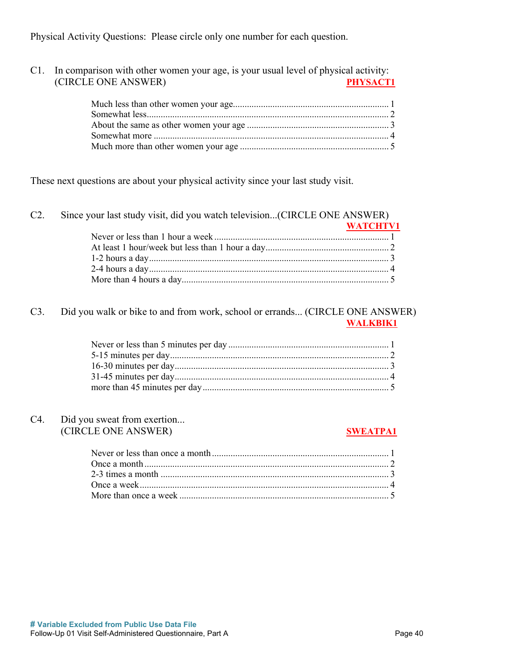Physical Activity Questions: Please circle only one number for each question.

### C1. In comparison with other women your age, is your usual level of physical activity: (CIRCLE ONE ANSWER) **PHYSACT1**

These next questions are about your physical activity since your last study visit.

C2. Since your last study visit, did you watch television...(CIRCLE ONE ANSWER)

| <b>WATCHTV1</b> |
|-----------------|
|                 |
|                 |
|                 |
|                 |
|                 |

### C3. Did you walk or bike to and from work, school or errands... (CIRCLE ONE ANSWER) **WALKBIK1**

### C4. Did you sweat from exertion... (CIRCLE ONE ANSWER) **SWEATPA1**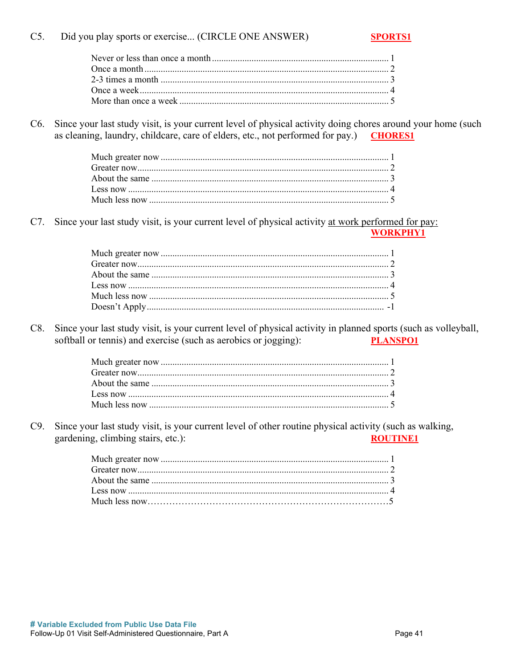Since your last study visit, is your current level of physical activity doing chores around your home (such C6. as cleaning, laundry, childcare, care of elders, etc., not performed for pay.) **CHORES1** 

C7. Since your last study visit, is your current level of physical activity at work performed for pay: **WORKPHY1** 

C8. Since your last study visit, is your current level of physical activity in planned sports (such as volleyball, softball or tennis) and exercise (such as aerobics or jogging): **PLANSPO1** 

C9. Since your last study visit, is your current level of other routine physical activity (such as walking, gardening, climbing stairs, etc.): **ROUTINE1**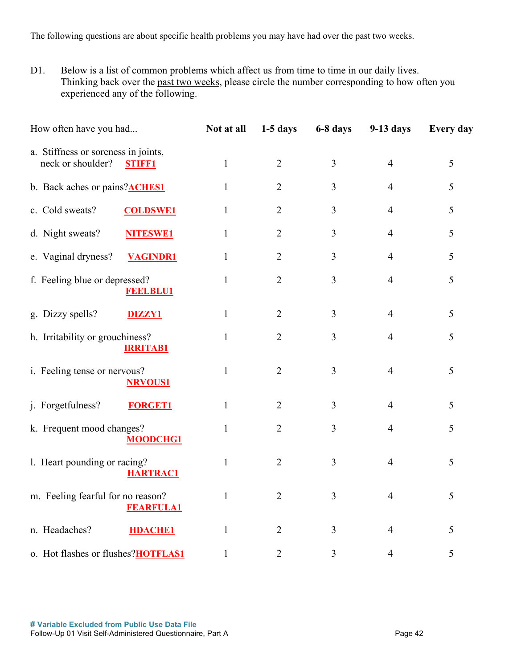The following questions are about specific health problems you may have had over the past two weeks.

D1. Below is a list of common problems which affect us from time to time in our daily lives. Thinking back over the past two weeks, please circle the number corresponding to how often you experienced any of the following.

| How often have you had                                   |                  | Not at all   | $1-5$ days     | 6-8 days       | 9-13 days      | <b>Every day</b> |
|----------------------------------------------------------|------------------|--------------|----------------|----------------|----------------|------------------|
| a. Stiffness or soreness in joints,<br>neck or shoulder? | <b>STIFF1</b>    | $\mathbf{1}$ | $\overline{2}$ | $\overline{3}$ | $\overline{4}$ | 5                |
| b. Back aches or pains? <b>ACHES1</b>                    |                  | $\mathbf{1}$ | $\overline{2}$ | 3              | $\overline{4}$ | 5                |
| c. Cold sweats?                                          | <b>COLDSWE1</b>  | $\mathbf{1}$ | $\overline{2}$ | $\overline{3}$ | $\overline{4}$ | 5                |
| d. Night sweats?                                         | <b>NITESWE1</b>  | $\mathbf{1}$ | $\overline{2}$ | 3              | $\overline{4}$ | 5                |
| e. Vaginal dryness?                                      | <b>VAGINDR1</b>  | $\mathbf{1}$ | $\overline{2}$ | 3              | $\overline{4}$ | 5                |
| f. Feeling blue or depressed?                            | <b>FEELBLU1</b>  | $\mathbf{1}$ | $\overline{2}$ | $\overline{3}$ | $\overline{4}$ | 5                |
| g. Dizzy spells?                                         | <b>DIZZY1</b>    | $\mathbf{1}$ | $\overline{2}$ | 3              | $\overline{4}$ | 5                |
| h. Irritability or grouchiness?                          | <b>IRRITAB1</b>  | $\mathbf{1}$ | $\overline{2}$ | 3              | $\overline{4}$ | 5                |
| i. Feeling tense or nervous?                             | <b>NRVOUS1</b>   | $\mathbf{1}$ | $\overline{2}$ | $\overline{3}$ | $\overline{4}$ | 5                |
| j. Forgetfulness?                                        | <b>FORGET1</b>   | $\mathbf{1}$ | $\overline{2}$ | $\overline{3}$ | $\overline{4}$ | 5                |
| k. Frequent mood changes?                                | <b>MOODCHG1</b>  | $\mathbf{1}$ | $\overline{2}$ | $\overline{3}$ | $\overline{4}$ | 5                |
| 1. Heart pounding or racing?                             | <b>HARTRAC1</b>  | $\mathbf{1}$ | $\overline{2}$ | $\overline{3}$ | $\overline{4}$ | 5                |
| m. Feeling fearful for no reason?                        | <b>FEARFULA1</b> | $\mathbf{1}$ | $\overline{2}$ | 3              | $\overline{4}$ | 5                |
| n. Headaches?                                            | <b>HDACHE1</b>   | $\mathbf{1}$ | $\overline{2}$ | 3              | $\overline{4}$ | 5                |
| o. Hot flashes or flushes? <b>HOTFLAS1</b>               |                  | $\mathbf{1}$ | $\overline{2}$ | 3              | $\overline{4}$ | 5                |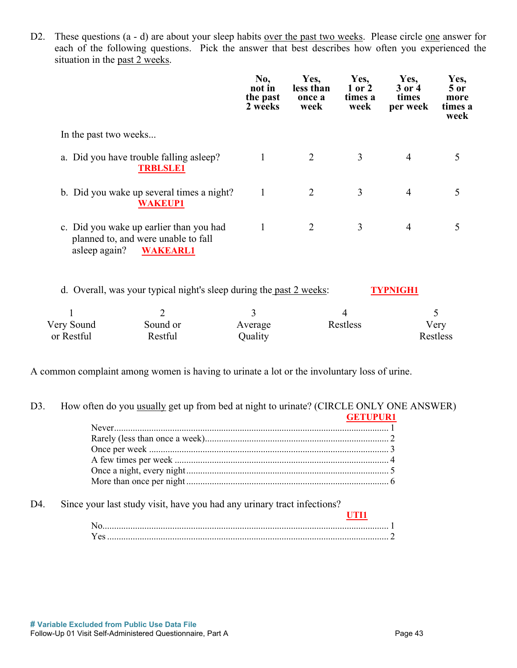D2. These questions (a - d) are about your sleep habits over the past two weeks. Please circle one answer for each of the following questions. Pick the answer that best describes how often you experienced the situation in the past 2 weeks.

|                               |                                                                                                   | No,<br>not in<br>the past<br>2 weeks | Yes,<br>less than<br>once a<br>week | Yes,<br>1 or 2<br>times a<br>week | Yes,<br>$3$ or $4$<br>times<br>per week | Yes,<br>$5$ or<br>more<br>times a<br>week |
|-------------------------------|---------------------------------------------------------------------------------------------------|--------------------------------------|-------------------------------------|-----------------------------------|-----------------------------------------|-------------------------------------------|
| In the past two weeks         |                                                                                                   |                                      |                                     |                                   |                                         |                                           |
|                               | a. Did you have trouble falling as leep?<br><b>TRBLSLE1</b>                                       | 1                                    | $\overline{2}$                      | 3                                 | $\overline{4}$                          | 5                                         |
|                               | b. Did you wake up several times a night?<br><b>WAKEUP1</b>                                       | 1                                    | 2                                   | 3                                 | $\overline{4}$                          | 5                                         |
| asleep again?                 | c. Did you wake up earlier than you had<br>planned to, and were unable to fall<br><b>WAKEARL1</b> | $\mathbf{1}$                         | $\overline{2}$                      | 3                                 | $\overline{4}$                          | 5                                         |
|                               | d. Overall, was your typical night's sleep during the past 2 weeks:                               |                                      |                                     |                                   | <b>TYPNIGH1</b>                         |                                           |
| 1<br>Very Sound<br>or Restful | 2<br>Sound or<br>Restful                                                                          | 3<br>Average<br>Quality              |                                     | 4<br>Restless                     |                                         | 5<br>Very<br>Restless                     |

A common complaint among women is having to urinate a lot or the involuntary loss of urine.

D3. How often do you usually get up from bed at night to urinate? (CIRCLE ONLY ONE ANSWER)

| <b>GETUPUR1</b> |
|-----------------|
|                 |
|                 |
|                 |
|                 |
|                 |
|                 |

### D4. Since your last study visit, have you had any urinary tract infections?

| Nc                   |  |  |  |
|----------------------|--|--|--|
| $\rm V_{\rm \rho c}$ |  |  |  |
|                      |  |  |  |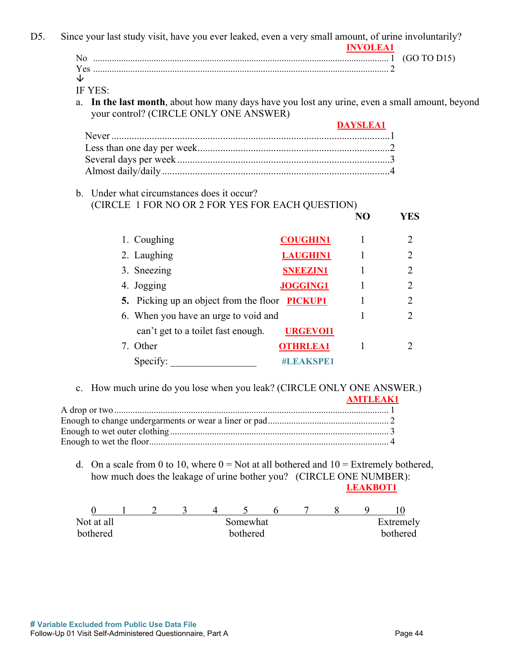|            | Since your last study visit, have you ever leaked, even a very small amount, of urine involuntarily? |                                                       |                  | <b>INVOLEA1</b> |                |
|------------|------------------------------------------------------------------------------------------------------|-------------------------------------------------------|------------------|-----------------|----------------|
|            | No $\ldots$ (GO TO D15)                                                                              |                                                       |                  |                 |                |
| ↓          |                                                                                                      |                                                       |                  |                 |                |
| IF YES:    |                                                                                                      |                                                       |                  |                 |                |
|            | a. In the last month, about how many days have you lost any urine, even a small amount, beyond       |                                                       |                  |                 |                |
|            | your control? (CIRCLE ONLY ONE ANSWER)                                                               |                                                       |                  |                 |                |
|            |                                                                                                      |                                                       |                  | <b>DAYSLEA1</b> |                |
|            |                                                                                                      |                                                       |                  |                 |                |
|            |                                                                                                      |                                                       |                  |                 |                |
|            |                                                                                                      |                                                       |                  |                 |                |
|            | b. Under what circumstances does it occur?                                                           |                                                       |                  |                 |                |
|            | (CIRCLE 1 FOR NO OR 2 FOR YES FOR EACH QUESTION)                                                     |                                                       |                  |                 |                |
|            |                                                                                                      |                                                       |                  | N <sub>O</sub>  | <b>YES</b>     |
|            | 1. Coughing                                                                                          |                                                       | <b>COUGHIN1</b>  | $\mathbf{1}$    | 2              |
|            | 2. Laughing                                                                                          |                                                       | <b>LAUGHIN1</b>  | $\mathbf{1}$    | $\overline{2}$ |
|            | 3. Sneezing                                                                                          |                                                       | <b>SNEEZIN1</b>  | $\mathbf{1}$    | $\overline{2}$ |
|            | 4. Jogging                                                                                           |                                                       | <b>JOGGING1</b>  | 1               | $\overline{2}$ |
|            |                                                                                                      | 5. Picking up an object from the floor <b>PICKUP1</b> |                  | 1               | $\overline{2}$ |
|            |                                                                                                      | 6. When you have an urge to void and                  |                  | 1               | $\overline{2}$ |
|            |                                                                                                      | can't get to a toilet fast enough.                    | <b>URGEVOI1</b>  |                 |                |
|            | 7. Other                                                                                             |                                                       | <b>OTHRLEA1</b>  | 1               | 2              |
|            |                                                                                                      | Specify:                                              | <b>#LEAKSPE1</b> |                 |                |
|            |                                                                                                      |                                                       |                  |                 |                |
|            | c. How much urine do you lose when you leak? (CIRCLE ONLY ONE ANSWER.)                               |                                                       |                  |                 |                |
|            |                                                                                                      |                                                       |                  | <b>AMTLEAK1</b> |                |
|            |                                                                                                      |                                                       |                  |                 |                |
|            |                                                                                                      |                                                       |                  |                 |                |
|            |                                                                                                      |                                                       |                  |                 |                |
|            | d. On a scale from 0 to 10, where $0 = Not$ at all bothered and $10 = Extremely$ bothered,           |                                                       |                  |                 |                |
|            | how much does the leakage of urine bother you? (CIRCLE ONE NUMBER):                                  |                                                       |                  |                 |                |
|            |                                                                                                      |                                                       |                  | <b>LEAKBOT1</b> |                |
| $\theta$   | 2<br>3                                                                                               | 5<br>4                                                | 8<br>6           | 9               | 10             |
| Not at all |                                                                                                      | Somewhat                                              |                  |                 | Extremely      |
| bothered   |                                                                                                      | bothered                                              |                  |                 | bothered       |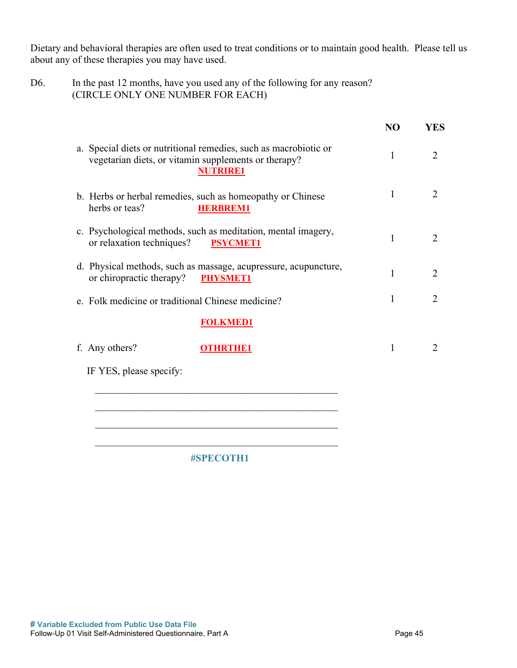Dietary and behavioral therapies are often used to treat conditions or to maintain good health. Please tell us about any of these therapies you may have used.

D6. In the past 12 months, have you used any of the following for any reason? (CIRCLE ONLY ONE NUMBER FOR EACH)

|                                                                                                                                             | N <sub>O</sub> | YES |
|---------------------------------------------------------------------------------------------------------------------------------------------|----------------|-----|
| a. Special diets or nutritional remedies, such as macrobiotic or<br>vegetarian diets, or vitamin supplements or therapy?<br><b>NUTRIRE1</b> | $\mathbf{1}$   | 2   |
| b. Herbs or herbal remedies, such as homeopathy or Chinese<br>herbs or teas?<br><b>HERBREM1</b>                                             | $\mathbf{1}$   | 2   |
| c. Psychological methods, such as meditation, mental imagery,<br>or relaxation techniques?<br><b>PSYCMET1</b>                               | 1              | 2   |
| d. Physical methods, such as massage, acupressure, acupuncture,<br>or chiropractic therapy?<br><b>PHYSMET1</b>                              | $\mathbf{1}$   | 2   |
| e. Folk medicine or traditional Chinese medicine?                                                                                           | 1              | 2   |
| <b>FOLKMED1</b>                                                                                                                             |                |     |
| f. Any others?<br><b>OTHRTHE1</b>                                                                                                           | $\mathbf{1}$   | 2   |
| IF YES, please specify:                                                                                                                     |                |     |
|                                                                                                                                             |                |     |
|                                                                                                                                             |                |     |
|                                                                                                                                             |                |     |

### **#SPECOTH1**

 $\mathcal{L}_\mathcal{L}$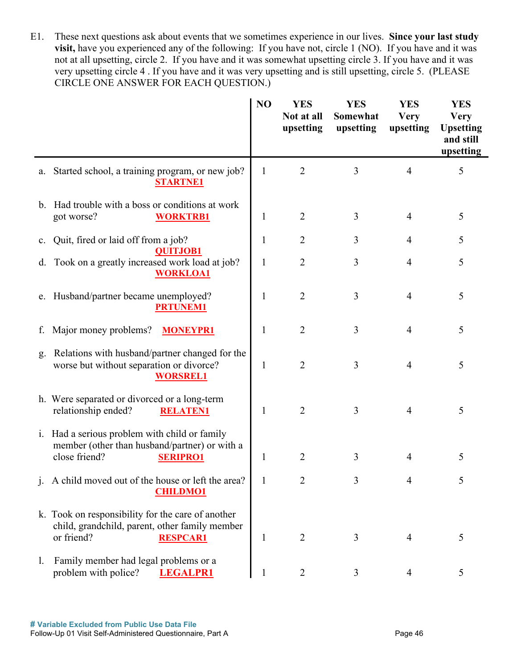E1. These next questions ask about events that we sometimes experience in our lives. **Since your last study**  visit, have you experienced any of the following: If you have not, circle 1 (NO). If you have and it was not at all upsetting, circle 2. If you have and it was somewhat upsetting circle 3. If you have and it was very upsetting circle 4 . If you have and it was very upsetting and is still upsetting, circle 5. (PLEASE CIRCLE ONE ANSWER FOR EACH QUESTION.)

|                |                                                                                                                                      | NO           | <b>YES</b><br>Not at all<br>upsetting | <b>YES</b><br>Somewhat<br>upsetting | <b>YES</b><br><b>Very</b><br>upsetting | <b>YES</b><br><b>Very</b><br><b>Upsetting</b><br>and still<br>upsetting |
|----------------|--------------------------------------------------------------------------------------------------------------------------------------|--------------|---------------------------------------|-------------------------------------|----------------------------------------|-------------------------------------------------------------------------|
|                | a. Started school, a training program, or new job?<br><b>STARTNE1</b>                                                                | $\mathbf{1}$ | 2                                     | 3                                   | $\overline{4}$                         | 5                                                                       |
|                | b. Had trouble with a boss or conditions at work<br>got worse?<br><b>WORKTRB1</b>                                                    | 1            | $\overline{2}$                        | 3                                   | $\overline{4}$                         | 5                                                                       |
| $c_{\cdot}$    | Quit, fired or laid off from a job?                                                                                                  | 1            | $\overline{2}$                        | 3                                   | 4                                      | 5                                                                       |
|                | <b>QUITJOB1</b><br>d. Took on a greatly increased work load at job?<br><b>WORKLOA1</b>                                               | 1            | $\overline{2}$                        | 3                                   | $\overline{4}$                         | 5                                                                       |
|                | e. Husband/partner became unemployed?<br><b>PRTUNEM1</b>                                                                             | 1            | $\overline{2}$                        | 3                                   | $\overline{4}$                         | 5                                                                       |
| f.             | Major money problems?<br><b>MONEYPR1</b>                                                                                             | 1            | $\overline{2}$                        | 3                                   | $\overline{4}$                         | 5                                                                       |
| $\mathbf{g}$ . | Relations with husband/partner changed for the<br>worse but without separation or divorce?<br><b>WORSREL1</b>                        | 1            | $\overline{2}$                        | 3                                   | $\overline{4}$                         | 5                                                                       |
|                | h. Were separated or divorced or a long-term<br>relationship ended?<br><b>RELATEN1</b>                                               | $\mathbf{1}$ | $\overline{2}$                        | 3                                   | $\overline{4}$                         | 5                                                                       |
|                | i. Had a serious problem with child or family<br>member (other than husband/partner) or with a<br>close friend?<br><b>SERIPRO1</b>   | $\mathbf{1}$ | 2                                     | 3                                   | $\overline{4}$                         | 5                                                                       |
|                | j. A child moved out of the house or left the area?<br><b>CHILDMO1</b>                                                               | 1            | $\overline{2}$                        | 3                                   | 4                                      | 5                                                                       |
|                | k. Took on responsibility for the care of another<br>child, grandchild, parent, other family member<br>or friend?<br><b>RESPCAR1</b> | 1            | $\overline{2}$                        | 3                                   | $\overline{4}$                         | 5                                                                       |
| 1.             | Family member had legal problems or a<br>problem with police?<br><b>LEGALPR1</b>                                                     | $\mathbf{1}$ | $\overline{2}$                        | 3                                   | 4                                      | 5                                                                       |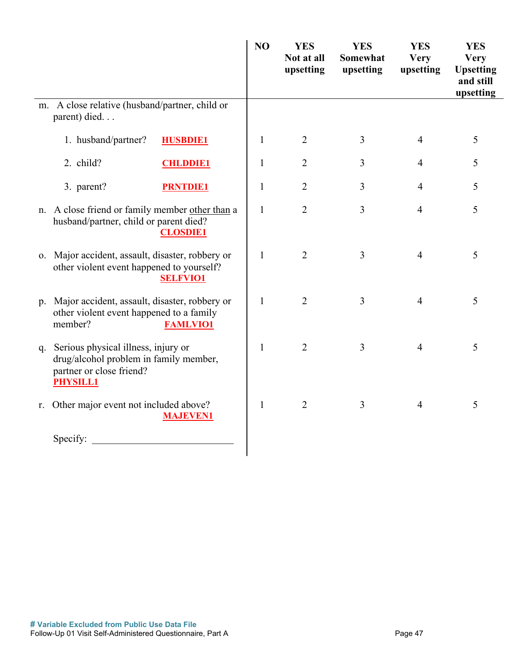|    |                                                                                                                              | NO           | <b>YES</b><br>Not at all<br>upsetting | <b>YES</b><br>Somewhat<br>upsetting | <b>YES</b><br><b>Very</b><br>upsetting | <b>YES</b><br><b>Very</b><br><b>Upsetting</b><br>and still<br>upsetting |
|----|------------------------------------------------------------------------------------------------------------------------------|--------------|---------------------------------------|-------------------------------------|----------------------------------------|-------------------------------------------------------------------------|
|    | m. A close relative (husband/partner, child or<br>parent) died.                                                              |              |                                       |                                     |                                        |                                                                         |
|    | 1. husband/partner?<br><b>HUSBDIE1</b>                                                                                       | $\mathbf{1}$ | $\overline{2}$                        | 3                                   | $\overline{4}$                         | 5                                                                       |
|    | 2. child?<br><b>CHLDDIE1</b>                                                                                                 | $\mathbf{1}$ | $\overline{2}$                        | 3                                   | $\overline{4}$                         | 5                                                                       |
|    | 3. parent?<br><b>PRNTDIE1</b>                                                                                                | $\mathbf{1}$ | $\overline{2}$                        | 3                                   | 4                                      | 5                                                                       |
|    | n. A close friend or family member other than a<br>husband/partner, child or parent died?<br><b>CLOSDIE1</b>                 | $\mathbf{1}$ | $\overline{2}$                        | 3                                   | $\overline{4}$                         | 5                                                                       |
| 0. | Major accident, assault, disaster, robbery or<br>other violent event happened to yourself?<br><b>SELFVIO1</b>                | $\mathbf{1}$ | $\overline{2}$                        | 3                                   | $\overline{4}$                         | 5                                                                       |
| p. | Major accident, assault, disaster, robbery or<br>other violent event happened to a family<br>member?<br><b>FAMLVIO1</b>      | $\mathbf{1}$ | $\overline{2}$                        | 3                                   | $\overline{4}$                         | 5                                                                       |
| q. | Serious physical illness, injury or<br>drug/alcohol problem in family member,<br>partner or close friend?<br><b>PHYSILL1</b> | $\mathbf{1}$ | $\overline{2}$                        | 3                                   | $\overline{4}$                         | 5                                                                       |
| r. | Other major event not included above?<br><b>MAJEVEN1</b>                                                                     | $\mathbf{1}$ | $\overline{2}$                        | 3                                   | $\overline{4}$                         | 5                                                                       |
|    | Specify:                                                                                                                     |              |                                       |                                     |                                        |                                                                         |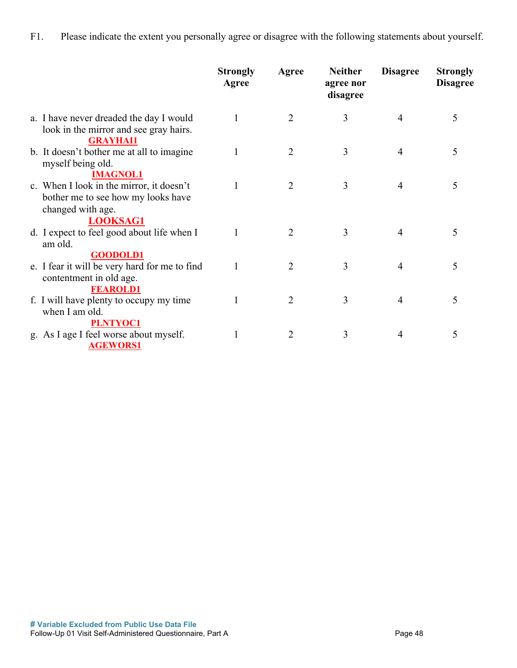|                                                                                                                | <b>Strongly</b><br>Agree | Agree          | <b>Neither</b><br>agree nor<br>disagree | <b>Disagree</b> | <b>Strongly</b><br><b>Disagree</b> |
|----------------------------------------------------------------------------------------------------------------|--------------------------|----------------|-----------------------------------------|-----------------|------------------------------------|
| a. I have never dreaded the day I would<br>look in the mirror and see gray hairs.<br><b>GRAYHAI1</b>           | 1                        | 2              | 3                                       | 4               | 5                                  |
| b. It doesn't bother me at all to imagine<br>myself being old.<br><b>IMAGNOL1</b>                              |                          | 2              | 3                                       | 4               | 5                                  |
| c. When I look in the mirror, it doesn't<br>bother me to see how my looks have<br>changed with age.            | 1                        | 2              | 3                                       | 4               | 5                                  |
| LOOKSAG1<br>d. I expect to feel good about life when I<br>am old.                                              | $\mathbf{1}$             | 2              | 3                                       | $\overline{4}$  | 5                                  |
| <b>GOODOLD1</b><br>e. I fear it will be very hard for me to find<br>contentment in old age.<br><b>FEAROLD1</b> | 1                        | 2              | 3                                       | 4               | 5                                  |
| f. I will have plenty to occupy my time<br>when I am old.                                                      |                          | $\overline{2}$ | 3                                       | 4               | 5                                  |
| <b>PLNTYOC1</b><br>g. As I age I feel worse about myself.<br><b>AGEWORS1</b>                                   |                          | 2              | 3                                       | 4               | 5                                  |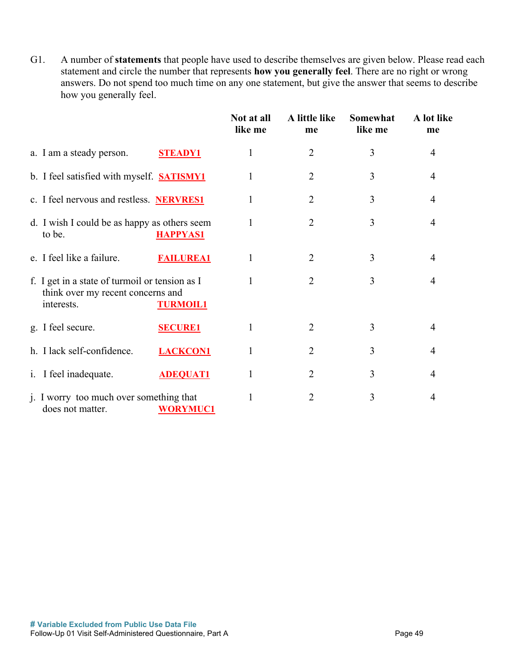G1. A number of **statements** that people have used to describe themselves are given below. Please read each statement and circle the number that represents **how you generally feel**. There are no right or wrong answers. Do not spend too much time on any one statement, but give the answer that seems to describe how you generally feel.

|                                                                                                                      | Not at all<br>like me | A little like<br>me | <b>Somewhat</b><br>like me | A lot like<br>me |
|----------------------------------------------------------------------------------------------------------------------|-----------------------|---------------------|----------------------------|------------------|
| a. I am a steady person.<br><b>STEADY1</b>                                                                           | 1                     | 2                   | 3                          | 4                |
| b. I feel satisfied with myself. <b>SATISMY1</b>                                                                     | 1                     | 2                   | 3                          | 4                |
| c. I feel nervous and restless. NERVRES1                                                                             | 1                     | $\overline{2}$      | 3                          | $\overline{4}$   |
| d. I wish I could be as happy as others seem<br>to be.<br><b>HAPPYAS1</b>                                            | 1                     | $\overline{2}$      | 3                          | $\overline{4}$   |
| e. I feel like a failure.<br><b>FAILUREA1</b>                                                                        | 1                     | 2                   | 3                          | $\overline{4}$   |
| f. I get in a state of turmoil or tension as I<br>think over my recent concerns and<br>interests.<br><b>TURMOIL1</b> | 1                     | $\overline{2}$      | 3                          | 4                |
| g. I feel secure.<br><b>SECURE1</b>                                                                                  | 1                     | $\overline{2}$      | 3                          | $\overline{4}$   |
| h. I lack self-confidence.<br><b>LACKCON1</b>                                                                        | 1                     | $\overline{2}$      | 3                          | 4                |
| i. I feel inadequate.<br><b>ADEQUAT1</b>                                                                             | 1                     | $\overline{2}$      | 3                          | 4                |
| j. I worry too much over something that<br>does not matter.<br><b>WORYMUC1</b>                                       | 1                     | $\overline{2}$      | 3                          | 4                |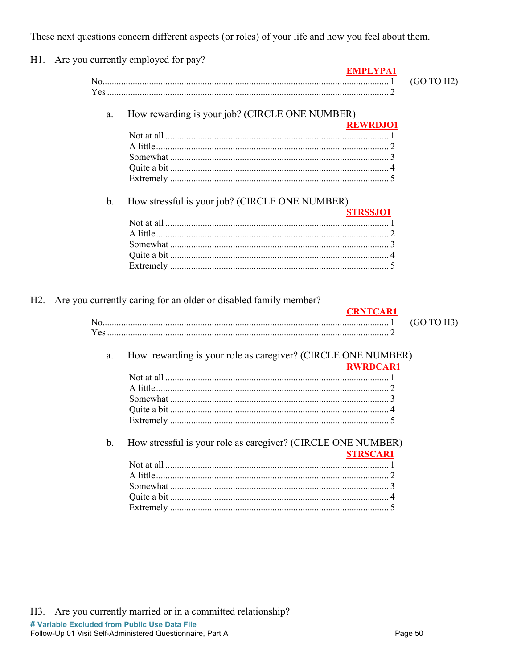These next questions concern different aspects (or roles) of your life and how you feel about them.

H1. Are you currently employed for pav?

|     |    | Fil. Are you currently employed for pay?                                            |            |
|-----|----|-------------------------------------------------------------------------------------|------------|
|     |    | <b>EMPLYPA1</b>                                                                     |            |
|     |    |                                                                                     | (GO TO H2) |
|     |    |                                                                                     |            |
|     |    |                                                                                     |            |
|     | a. | How rewarding is your job? (CIRCLE ONE NUMBER)                                      |            |
|     |    | <b>REWRDJO1</b>                                                                     |            |
|     |    |                                                                                     |            |
|     |    |                                                                                     |            |
|     |    |                                                                                     |            |
|     |    |                                                                                     |            |
|     |    |                                                                                     |            |
|     |    |                                                                                     |            |
|     | b. | How stressful is your job? (CIRCLE ONE NUMBER)                                      |            |
|     |    |                                                                                     |            |
|     |    | <b>STRSSJO1</b>                                                                     |            |
|     |    |                                                                                     |            |
|     |    |                                                                                     |            |
|     |    |                                                                                     |            |
|     |    |                                                                                     |            |
|     |    |                                                                                     |            |
| H2. |    | Are you currently caring for an older or disabled family member?<br><b>CRNTCAR1</b> |            |
|     |    |                                                                                     | (GO TO H3) |
|     |    |                                                                                     |            |
|     | a. | How rewarding is your role as caregiver? (CIRCLE ONE NUMBER)<br><b>RWRDCAR1</b>     |            |
|     |    |                                                                                     |            |
|     |    |                                                                                     |            |
|     |    |                                                                                     |            |
|     |    |                                                                                     |            |
|     |    |                                                                                     |            |
|     |    |                                                                                     |            |
|     | b. |                                                                                     |            |
|     |    | How stressful is your role as caregiver? (CIRCLE ONE NUMBER)                        |            |
|     |    | <b>STRSCAR1</b>                                                                     |            |
|     |    |                                                                                     |            |
|     |    |                                                                                     |            |
|     |    |                                                                                     |            |
|     |    |                                                                                     |            |

H3. Are you currently married or in a committed relationship? # Variable Excluded from Public Use Data File Follow-Up 01 Visit Self-Administered Questionnaire, Part A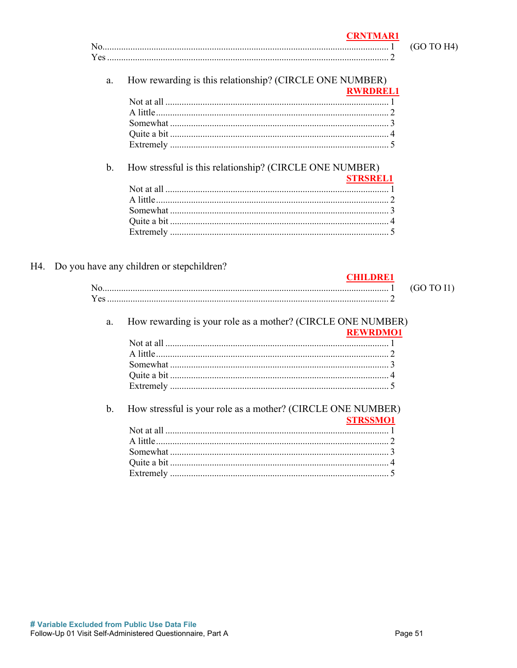|    | CRNTMARI                                                |            |
|----|---------------------------------------------------------|------------|
|    |                                                         | (GO TO H4) |
| a. | How rewarding is this relationship? (CIRCLE ONE NUMBER) |            |
|    | <b>RWRDREL1</b>                                         |            |
|    |                                                         |            |
|    |                                                         |            |
|    |                                                         |            |
|    |                                                         |            |
|    |                                                         |            |
| b. | How stressful is this relationship? (CIRCLE ONE NUMBER) |            |
|    | <b>STRSREL1</b>                                         |            |
|    |                                                         |            |
|    |                                                         |            |
|    |                                                         |            |
|    |                                                         |            |
|    |                                                         |            |

### H4. Do you have any children or stepchildren?

|    |                                                             |                 | (GO TO II) |
|----|-------------------------------------------------------------|-----------------|------------|
| a. | How rewarding is your role as a mother? (CIRCLE ONE NUMBER) | <b>REWRDMO1</b> |            |
|    |                                                             |                 |            |
|    |                                                             |                 |            |
|    |                                                             |                 |            |
| b. | How stressful is your role as a mother? (CIRCLE ONE NUMBER) | <b>STRSSMO1</b> |            |
|    |                                                             |                 |            |
|    |                                                             |                 |            |
|    |                                                             |                 |            |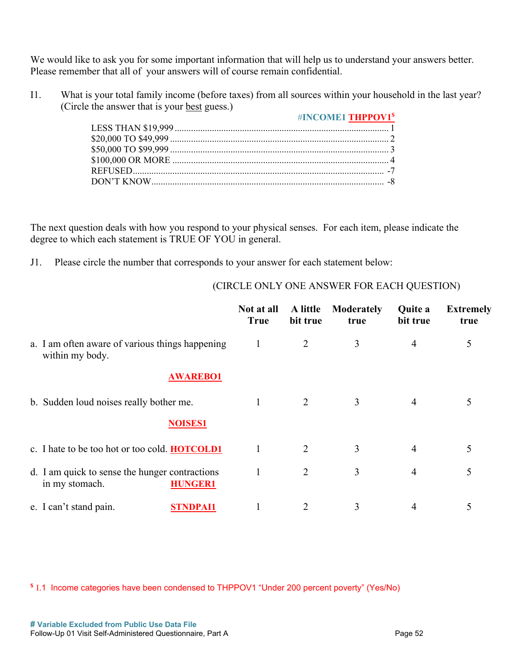We would like to ask you for some important information that will help us to understand your answers better. Please remember that all of your answers will of course remain confidential.

I1. What is your total family income (before taxes) from all sources within your household in the last year? (Circle the answer that is your best guess.) #**INCOME1 THPPOV1\$**

| #INCOME1 THPPOV1° |
|-------------------|
|                   |
|                   |
|                   |
|                   |
|                   |
|                   |

The next question deals with how you respond to your physical senses. For each item, please indicate the degree to which each statement is TRUE OF YOU in general.

J1. Please circle the number that corresponds to your answer for each statement below:

### (CIRCLE ONLY ONE ANSWER FOR EACH QUESTION)

|                                                                    |                 | Not at all<br><b>True</b> | A little<br>bit true | Moderately<br>true | Quite a<br>bit true | <b>Extremely</b><br>true |
|--------------------------------------------------------------------|-----------------|---------------------------|----------------------|--------------------|---------------------|--------------------------|
| a. I am often aware of various things happening<br>within my body. |                 | 1                         | 2                    | 3                  | 4                   | 5                        |
|                                                                    | <b>AWAREBO1</b> |                           |                      |                    |                     |                          |
| b. Sudden loud noises really bother me.                            |                 |                           | 2                    | 3                  | 4                   | 5                        |
|                                                                    | <b>NOISES1</b>  |                           |                      |                    |                     |                          |
| c. I hate to be too hot or too cold. HOTCOLD1                      |                 |                           | 2                    | 3                  | 4                   | 5                        |
| d. I am quick to sense the hunger contractions<br>in my stomach.   | <b>HUNGER1</b>  | $\mathbf{1}$              | $\overline{2}$       | 3                  | 4                   | 5                        |
| e. I can't stand pain.                                             | <b>STNDPAI1</b> |                           | 2                    | 3                  | 4                   | 5                        |

**\$** I.1 Income categories have been condensed to THPPOV1 "Under 200 percent poverty" (Yes/No)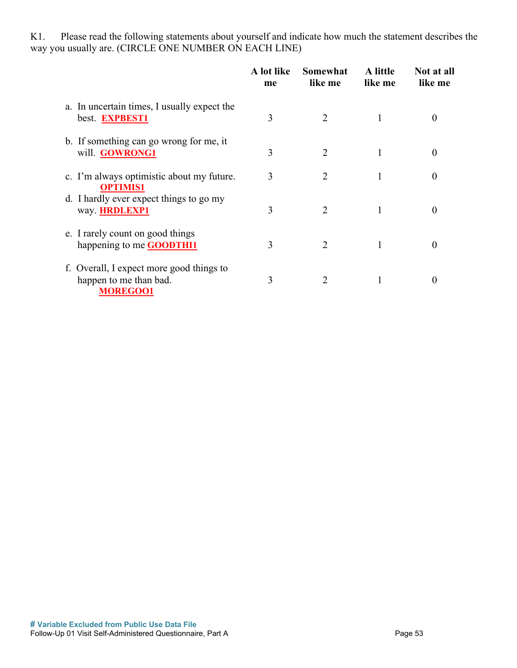K1. Please read the following statements about yourself and indicate how much the statement describes the way you usually are. (CIRCLE ONE NUMBER ON EACH LINE)

|                       |                                                                                       | A lot like<br>me | Somewhat<br>like me | <b>A</b> little<br>like me | Not at all<br>like me |
|-----------------------|---------------------------------------------------------------------------------------|------------------|---------------------|----------------------------|-----------------------|
| best. <b>EXPBEST1</b> | a. In uncertain times, I usually expect the                                           | 3                | 2                   |                            |                       |
| will <b>GOWRONG1</b>  | b. If something can go wrong for me, it                                               | 3                | $\overline{2}$      |                            | $\theta$              |
|                       | c. I'm always optimistic about my future.<br><b>OPTIMIS1</b>                          | 3                | 2                   |                            | $\Omega$              |
| way. HRDLEXP1         | d. I hardly ever expect things to go my                                               | 3                | 2                   |                            |                       |
|                       | e. I rarely count on good things<br>happening to me <b>GOODTHI1</b>                   | 3                | $\overline{2}$      |                            |                       |
|                       | f. Overall, I expect more good things to<br>happen to me than bad.<br><b>MOREGOO1</b> | 3                | 2                   |                            | $\Omega$              |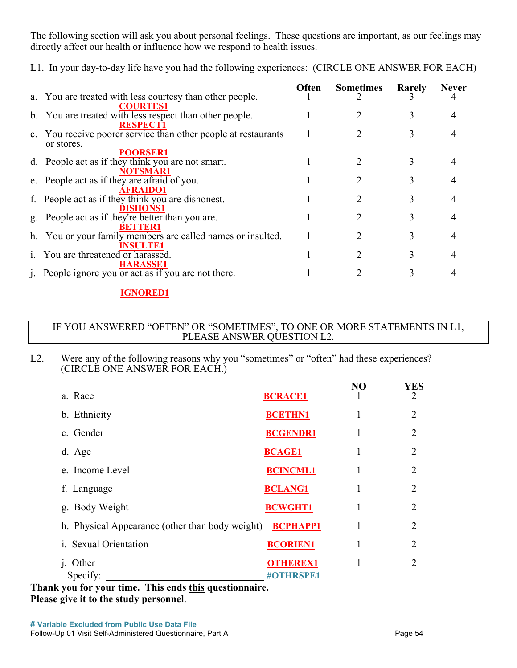The following section will ask you about personal feelings. These questions are important, as our feelings may directly affect our health or influence how we respond to health issues.

L1. In your day-to-day life have you had the following experiences: (CIRCLE ONE ANSWER FOR EACH)

|                                                                                               | <b>Often</b> | <b>Sometimes</b> | Rarely | <b>Never</b> |
|-----------------------------------------------------------------------------------------------|--------------|------------------|--------|--------------|
| a. You are treated with less courtesy than other people.                                      |              |                  |        |              |
| <b>COURTES1</b><br>b. You are treated with less respect than other people.<br><b>RESPECT1</b> |              |                  |        |              |
| c. You receive poorer service than other people at restaurants<br>or stores.                  |              |                  |        |              |
| <b>POORSER1</b><br>d. People act as if they think you are not smart.                          |              |                  |        |              |
| OTSMAR1<br>e. People act as if they are afraid of you.<br>AFRAIDOI                            |              |                  |        |              |
| f. People act as if they think you are dishonest.<br><b>SHONS1</b>                            |              |                  |        |              |
| g. People act as if they're better than you are.                                              |              |                  |        |              |
| h. You or your family members are called names or insulted.                                   |              |                  |        |              |
| ISHLAN BA<br>i. You are threatened or harassed.                                               |              |                  |        |              |
| <b>HARASSE1</b><br>i. People ignore you $\overline{or}$ act as if you are not there.          |              |                  |        |              |

### **IGNORED1**

### IF YOU ANSWERED "OFTEN" OR "SOMETIMES", TO ONE OR MORE STATEMENTS IN L1, PLEASE ANSWER QUESTION L2.

L2. Were any of the following reasons why you "sometimes" or "often" had these experiences? (CIRCLE ONE ANSWER FOR EACH.)

| a. Race                                         | <b>BCRACE1</b>                      | N <sub>O</sub> | YES<br>2       |
|-------------------------------------------------|-------------------------------------|----------------|----------------|
| b. Ethnicity                                    | <b>BCETHN1</b>                      |                | 2              |
| c. Gender                                       | <b>BCGENDR1</b>                     |                | 2              |
| d. Age                                          | <b>BCAGE1</b>                       |                | $\overline{2}$ |
| e. Income Level                                 | <b>BCINCML1</b>                     |                | 2              |
| f. Language                                     | <b>BCLANG1</b>                      |                | 2              |
| g. Body Weight                                  | <b>BCWGHT1</b>                      |                | 2              |
| h. Physical Appearance (other than body weight) | <b>BCPHAPP1</b>                     |                | 2              |
| i. Sexual Orientation                           | <b>BCORIEN1</b>                     |                | 2              |
| Other<br>1.<br>Specify:                         | <b>OTHEREX1</b><br><b>#OTHRSPE1</b> |                | 2              |

**Thank you for your time. This ends this questionnaire. Please give it to the study personnel**.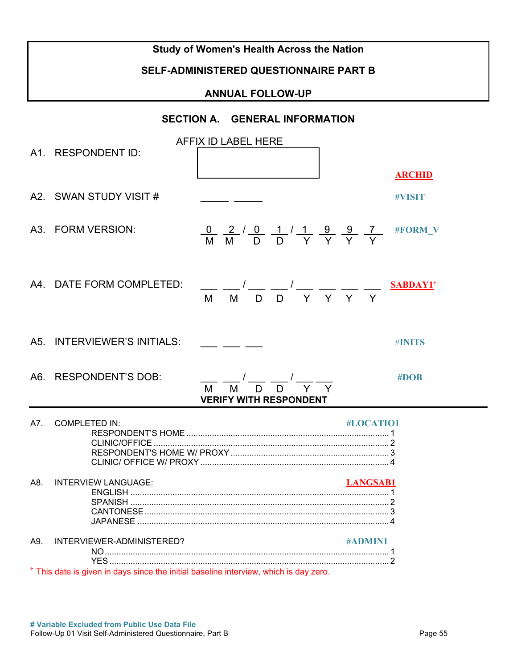### **Study of Women's Health Across the Nation**

### **SELF-ADMINISTERED QUESTIONNAIRE PART B**

### **ANNUAL FOLLOW-UP**

### **SECTION A. GENERAL INFORMATION**

|     | A1. RESPONDENT ID:                                                                                                               | AFFIX ID LABEL HERE                                                                                                  |  |  |                 |                                                                                                                                       |
|-----|----------------------------------------------------------------------------------------------------------------------------------|----------------------------------------------------------------------------------------------------------------------|--|--|-----------------|---------------------------------------------------------------------------------------------------------------------------------------|
|     |                                                                                                                                  |                                                                                                                      |  |  |                 | <b>ARCHID</b>                                                                                                                         |
|     | A2. SWAN STUDY VISIT #                                                                                                           |                                                                                                                      |  |  |                 | <b>#VISIT</b>                                                                                                                         |
|     | A3. FORM VERSION:                                                                                                                |                                                                                                                      |  |  |                 | $\frac{0}{0}$ $\frac{2}{0}$ $\frac{0}{0}$ $\frac{1}{0}$ $\frac{1}{0}$ $\frac{1}{0}$ $\frac{9}{0}$ $\frac{9}{0}$ $\frac{7}{0}$ #FORM_V |
|     | A4. DATE FORM COMPLETED: $\frac{1}{M} - \frac{1}{M} - \frac{1}{D} - \frac{1}{Y} - \frac{1}{Y} - \frac{1}{Y} - \frac{SABDAY1}{Y}$ |                                                                                                                      |  |  |                 |                                                                                                                                       |
|     | A5. INTERVIEWER'S INITIALS:                                                                                                      |                                                                                                                      |  |  |                 | <b>#INITS</b>                                                                                                                         |
|     | A6. RESPONDENT'S DOB:                                                                                                            | $\frac{1}{M}$ $\frac{1}{M}$ $\frac{1}{D}$ $\frac{1}{D}$ $\frac{1}{Y}$ $\frac{1}{Y}$<br><b>VERIFY WITH RESPONDENT</b> |  |  |                 | $\#DOB$                                                                                                                               |
| A7. | <b>COMPLETED IN:</b>                                                                                                             |                                                                                                                      |  |  | #LOCATIO1       |                                                                                                                                       |
| A8. | <b>INTERVIEW LANGUAGE:</b>                                                                                                       |                                                                                                                      |  |  | <b>LANGSAB1</b> |                                                                                                                                       |
| A9. | INTERVIEWER-ADMINISTERED?                                                                                                        |                                                                                                                      |  |  | <b>#ADMIN1</b>  |                                                                                                                                       |
|     | $†$ This date is given in days since the initial baseline interview, which is day zero.                                          |                                                                                                                      |  |  |                 |                                                                                                                                       |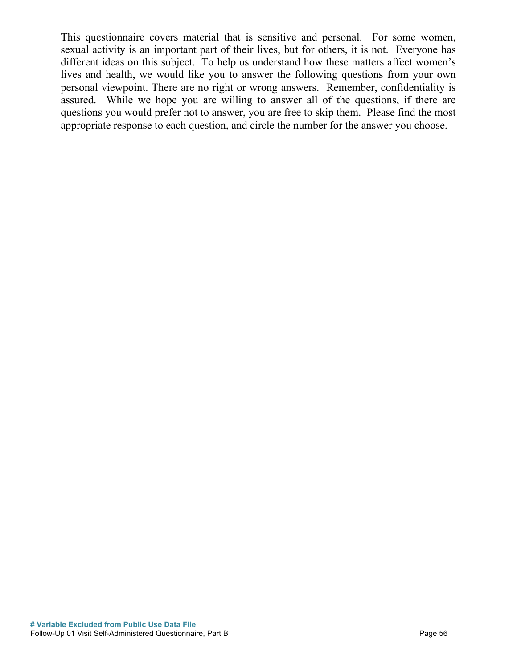This questionnaire covers material that is sensitive and personal. For some women, sexual activity is an important part of their lives, but for others, it is not. Everyone has different ideas on this subject. To help us understand how these matters affect women's lives and health, we would like you to answer the following questions from your own personal viewpoint. There are no right or wrong answers. Remember, confidentiality is assured. While we hope you are willing to answer all of the questions, if there are questions you would prefer not to answer, you are free to skip them. Please find the most appropriate response to each question, and circle the number for the answer you choose.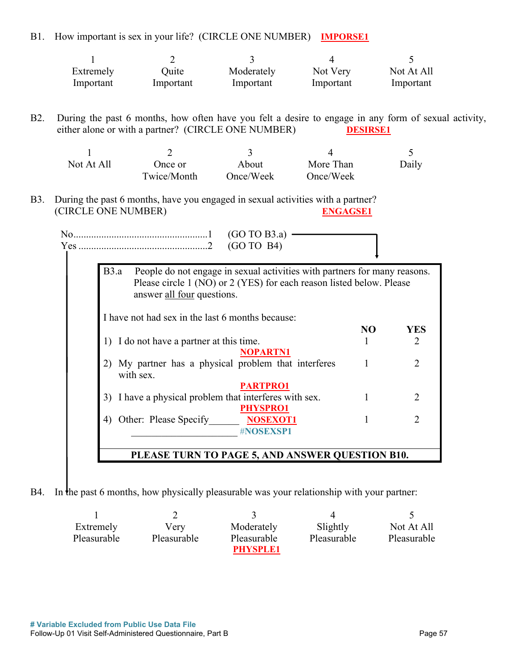B1. How important is sex in your life? (CIRCLE ONE NUMBER) **IMPORSE1**

| Extremely | Ouite     | Moderately | Not Very  | Not At All |
|-----------|-----------|------------|-----------|------------|
| Important | Important | Important  | Important | Important  |

B2. During the past 6 months, how often have you felt a desire to engage in any form of sexual activity, either alone or with a partner? (CIRCLE ONE NUMBER) **DESIRSE1** 

| Not At All | Once or     | About.    | More Than | Daily |
|------------|-------------|-----------|-----------|-------|
|            | Twice/Month | Once/Week | Once/Week |       |

B3. During the past 6 months, have you engaged in sexual activities with a partner? (CIRCLE ONE NUMBER) **ENGAGSE1**

| (GO TO B3.a) |
|--------------|
| (GO TO B4)   |

B3.a People do not engage in sexual activities with partners for many reasons. Please circle 1 (NO) or 2 (YES) for each reason listed below. Please answer all four questions. I have not had sex in the last 6 months because:

|                                                        | 7F.S |
|--------------------------------------------------------|------|
| 1) I do not have a partner at this time.               |      |
| <b>NOPARTN1</b>                                        |      |
| My partner has a physical problem that interferes      |      |
| with sex.                                              |      |
| <b>PARTPRO1</b>                                        |      |
| 3) I have a physical problem that interferes with sex. |      |
| <b>PHYSPRO1</b>                                        |      |
| Other: Please Specify<br><b>NOSEXOT1</b>               |      |
| <b>#NOSEXSP1</b>                                       |      |
|                                                        |      |

### **PLEASE TURN TO PAGE 5, AND ANSWER QUESTION B10.**

B4. In the past 6 months, how physically pleasurable was your relationship with your partner:

| Extremely   | Very        | Moderately      | Slightly    | Not At All  |
|-------------|-------------|-----------------|-------------|-------------|
| Pleasurable | Pleasurable | Pleasurable     | Pleasurable | Pleasurable |
|             |             | <b>PHYSPLE1</b> |             |             |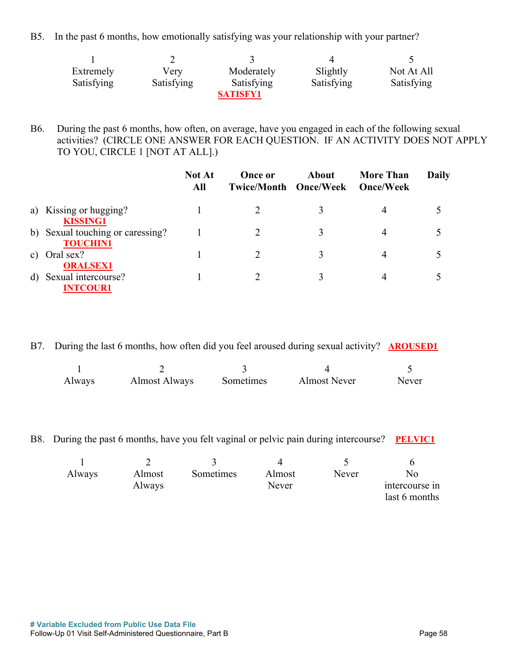B5. In the past 6 months, how emotionally satisfying was your relationship with your partner?

|            | ∸          |                 |            |                   |
|------------|------------|-----------------|------------|-------------------|
| Extremely  | Very       | Moderately      | Slightly   | Not At All        |
| Satisfying | Satisfying | Satisfying      | Satisfying | <b>Satisfying</b> |
|            |            | <b>SATISFY1</b> |            |                   |

B6. During the past 6 months, how often, on average, have you engaged in each of the following sexual activities? (CIRCLE ONE ANSWER FOR EACH QUESTION. IF AN ACTIVITY DOES NOT APPLY TO YOU, CIRCLE 1 [NOT AT ALL].)

|    |                                                     | <b>Not At</b><br>All | Once or<br><b>Twice/Month Once/Week</b> | About | <b>More Than</b><br><b>Once/Week</b> | <b>Daily</b> |
|----|-----------------------------------------------------|----------------------|-----------------------------------------|-------|--------------------------------------|--------------|
|    | a) Kissing or hugging?<br><b>KISSING1</b>           |                      |                                         |       |                                      |              |
|    | b) Sexual touching or caressing?<br><b>TOUCHIN1</b> |                      |                                         |       |                                      |              |
|    | c) Oral sex?<br><b>ORALSEX1</b>                     |                      | $\mathcal{D}$                           |       | 4                                    |              |
| d) | Sexual intercourse?<br><b>INTCOUR1</b>              |                      |                                         |       |                                      |              |

B7. During the last 6 months, how often did you feel aroused during sexual activity? **AROUSED1**

| Always | Almost Always | Sometimes | Almost Never | Never |
|--------|---------------|-----------|--------------|-------|

B8. During the past 6 months, have you felt vaginal or pelvic pain during intercourse? **PELVIC1** 

| Always | Almost | Sometimes | Almost | Never | No             |
|--------|--------|-----------|--------|-------|----------------|
|        | Always |           | Never  |       | intercourse in |
|        |        |           |        |       | last 6 months  |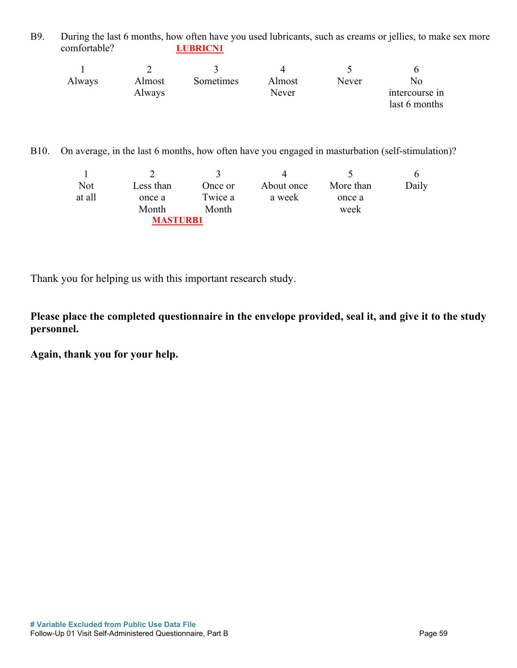B9. During the last 6 months, how often have you used lubricants, such as creams or jellies, to make sex more comfortable? **LUBRICN1**

| Always | Almost | Sometimes | Almost | Never | No.            |
|--------|--------|-----------|--------|-------|----------------|
|        | Always |           | Never  |       | intercourse in |
|        |        |           |        |       | last 6 months  |

B10. On average, in the last 6 months, how often have you engaged in masturbation (self-stimulation)?

| Not    | Less than       | Once or | About once | More than | Daily |
|--------|-----------------|---------|------------|-----------|-------|
| at all | once a          | Twice a | a week     | once a    |       |
|        | Month           | Month   |            | week      |       |
|        | <b>MASTURB1</b> |         |            |           |       |

Thank you for helping us with this important research study.

**Please place the completed questionnaire in the envelope provided, seal it, and give it to the study personnel.**

**Again, thank you for your help.**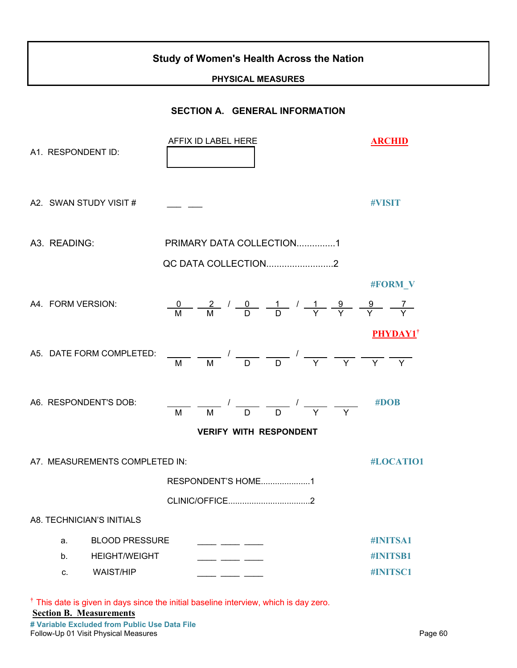### **Study of Women's Health Across the Nation**

### **PHYSICAL MEASURES**

### **SECTION A. GENERAL INFORMATION**



**†** This date is given in days since the initial baseline interview, which is day zero. **Section B. Measurements**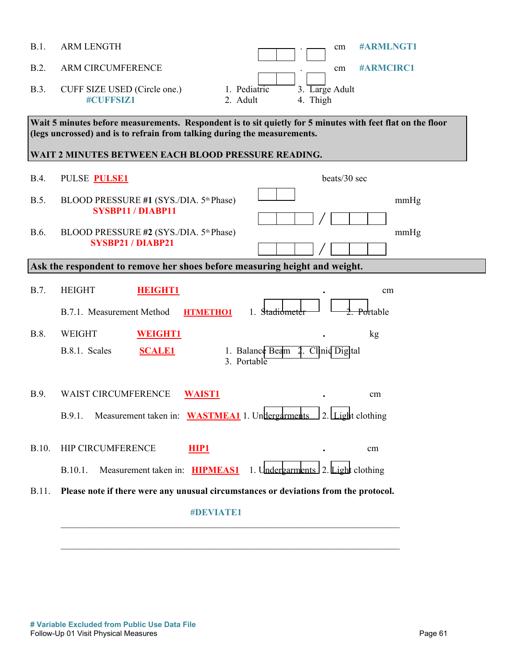| B.1.        | <b>ARM LENGTH</b><br><b>#ARMLNGT1</b><br>cm                                                                                                                                            |
|-------------|----------------------------------------------------------------------------------------------------------------------------------------------------------------------------------------|
| B.2.        | ARM CIRCUMFERENCE<br><b>#ARMCIRC1</b><br>cm                                                                                                                                            |
| <b>B.3.</b> | CUFF SIZE USED (Circle one.)<br>3. Large Adult<br>1. Pediatric<br>#CUFFSIZ1<br>2. Adult<br>4. Thigh                                                                                    |
|             | Wait 5 minutes before measurements. Respondent is to sit quietly for 5 minutes with feet flat on the floor<br>(legs uncrossed) and is to refrain from talking during the measurements. |
|             | <b>WAIT 2 MINUTES BETWEEN EACH BLOOD PRESSURE READING.</b>                                                                                                                             |
| <b>B.4.</b> | beats/30 sec<br>PULSE PULSE1                                                                                                                                                           |
| <b>B.5.</b> | BLOOD PRESSURE #1 (SYS./DIA. 5th Phase)<br>mmHg<br>SYSBP11 / DIABP11                                                                                                                   |
| <b>B.6.</b> | BLOOD PRESSURE #2 (SYS./DIA. 5th Phase)<br>mmHg<br>SYSBP21 / DIABP21                                                                                                                   |
|             | Ask the respondent to remove her shoes before measuring height and weight.                                                                                                             |
| <b>B.7.</b> | <b>HEIGHT</b><br><b>HEIGHT1</b><br>cm<br>B.7.1. Measurement Method<br><b>HTMETHO1</b><br>1. Stadiometer<br>Portable                                                                    |
| <b>B.8.</b> | <b>WEIGHT</b><br><b>WEIGHT1</b><br>kg<br>1. Balance Beam<br><b>2.</b> Clinic Digital<br>B.8.1. Scales<br><b>SCALE1</b><br>3. Portable                                                  |
| <b>B.9.</b> | <b>WAIST CIRCUMFERENCE</b><br><b>WAIST1</b><br>cm<br>B.9.1. Measurement taken in: <b>WASTMEA1</b> 1. Undergarments<br> 2.<br>Light clothing                                            |
| B.10.       | HIP CIRCUMFERENCE<br><b>HIP1</b><br>cm<br>Measurement taken in: <b>HIPMEAS1</b> 1. Undergarments 2. Light clothing<br>B.10.1.                                                          |
| B.11.       | Please note if there were any unusual circumstances or deviations from the protocol.<br><b>#DEVIATE1</b>                                                                               |
|             |                                                                                                                                                                                        |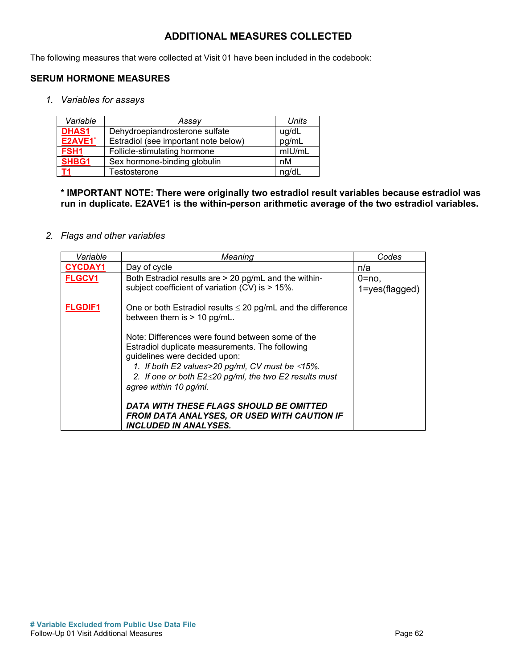### **ADDITIONAL MEASURES COLLECTED**

The following measures that were collected at Visit 01 have been included in the codebook:

### **SERUM HORMONE MEASURES**

*1. Variables for assays*

| Variable         | Assay                                | Units  |
|------------------|--------------------------------------|--------|
| <b>DHAS1</b>     | Dehydroepiandrosterone sulfate       | ug/dL  |
| E2AVE1*          | Estradiol (see important note below) | pg/mL  |
| FSH <sub>1</sub> | Follicle-stimulating hormone         | mIU/mL |
| SHBG1            | Sex hormone-binding globulin         | nM     |
| т1               | Testosterone                         | ng/dL  |

**\* IMPORTANT NOTE: There were originally two estradiol result variables because estradiol was run in duplicate. E2AVE1 is the within-person arithmetic average of the two estradiol variables.**

### *2. Flags and other variables*

| Variable       | Meaning                                                                                                                                                                                                                                                                           | Codes                        |
|----------------|-----------------------------------------------------------------------------------------------------------------------------------------------------------------------------------------------------------------------------------------------------------------------------------|------------------------------|
| <b>CYCDAY1</b> | Day of cycle                                                                                                                                                                                                                                                                      | n/a                          |
| <b>FLGCV1</b>  | Both Estradiol results are > 20 pg/mL and the within-<br>subject coefficient of variation (CV) is > 15%.                                                                                                                                                                          | $0 = no$ ,<br>1=yes(flagged) |
| <b>FLGDIF1</b> | One or both Estradiol results $\leq$ 20 pg/mL and the difference<br>between them is $> 10$ pg/mL.                                                                                                                                                                                 |                              |
|                | Note: Differences were found between some of the<br>Estradiol duplicate measurements. The following<br>quidelines were decided upon:<br>1. If both E2 values>20 pg/ml, CV must be ≤15%.<br>2. If one or both $E2 \le 20$ pg/ml, the two E2 results must<br>agree within 10 pg/ml. |                              |
|                | DATA WITH THESE FLAGS SHOULD BE OMITTED<br><b>FROM DATA ANALYSES, OR USED WITH CAUTION IF</b><br><b>INCLUDED IN ANALYSES.</b>                                                                                                                                                     |                              |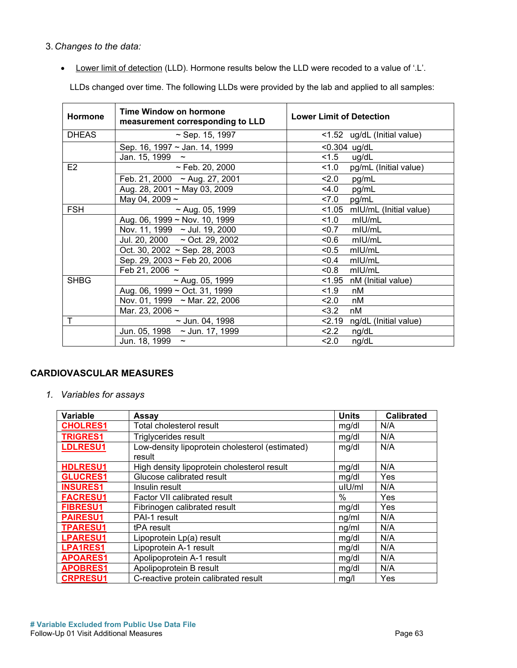### 3. *Changes to the data:*

• Lower limit of detection (LLD). Hormone results below the LLD were recoded to a value of '.L'.

LLDs changed over time. The following LLDs were provided by the lab and applied to all samples:

| <b>Hormone</b> | Time Window on hormone<br>measurement corresponding to LLD | <b>Lower Limit of Detection</b>  |
|----------------|------------------------------------------------------------|----------------------------------|
| <b>DHEAS</b>   | $\sim$ Sep. 15, 1997                                       | <1.52 ug/dL (Initial value)      |
|                | Sep. 16, 1997 ~ Jan. 14, 1999                              | <0.304 ug/dL                     |
|                | Jan. 15, 1999                                              | 1.5<br>ug/dL                     |
| E2             | $\sim$ Feb. 20, 2000                                       | 1.0<br>pg/mL (Initial value)     |
|                | Feb. 21, 2000 ~ Aug. 27, 2001                              | 2.0<br>pg/mL                     |
|                | Aug. 28, 2001 ~ May 03, 2009                               | 4.0<br>pg/mL                     |
|                | May 04, 2009 $\sim$                                        | 27.0<br>pg/mL                    |
| <b>FSH</b>     | ~ Aug. 05, 1999                                            | < 1.05<br>mIU/mL (Initial value) |
|                | Aug. 06, 1999 ~ Nov. 10, 1999                              | 1.0<br>mIU/mL                    |
|                | Nov. 11, 1999 ~ Jul. 19, 2000                              | < 0.7<br>mIU/mL                  |
|                | Jul. 20, 2000 $\sim$ Oct. 29, 2002                         | < 0.6<br>mIU/mL                  |
|                | Oct. 30, 2002 ~ Sep. 28, 2003                              | < 0.5<br>mIU/mL                  |
|                | Sep. 29, 2003 ~ Feb 20, 2006                               | < 0.4<br>mIU/mL                  |
|                | Feb 21, 2006 $\sim$                                        | < 0.8<br>mIU/mL                  |
| <b>SHBG</b>    | ~ Aug. 05, 1999                                            | < 1.95<br>nM (Initial value)     |
|                | Aug. 06, 1999 ~ Oct. 31, 1999                              | 1.9<br>nM                        |
|                | Nov. 01, 1999 ~ Mar. 22, 2006                              | 2.0<br>nM                        |
|                | Mar. 23, 2006 ~                                            | 3.2<br>nM                        |
| т              | $\sim$ Jun. 04, 1998                                       | 2.19<br>ng/dL (Initial value)    |
|                | Jun. 05, 1998 $\sim$ Jun. 17, 1999                         | 2.2<br>ng/dL                     |
|                | Jun. 18, 1999<br>$\tilde{\phantom{a}}$                     | 2.0<br>ng/dL                     |

### **CARDIOVASCULAR MEASURES**

*1. Variables for assays*

| <b>Variable</b> | Assay                                                     | <b>Units</b> | <b>Calibrated</b> |
|-----------------|-----------------------------------------------------------|--------------|-------------------|
| <b>CHOLRES1</b> | Total cholesterol result                                  | mg/dl        | N/A               |
| <b>TRIGRES1</b> | Triglycerides result                                      | mg/dl        | N/A               |
| <b>LDLRESU1</b> | Low-density lipoprotein cholesterol (estimated)<br>result | mg/dl        | N/A               |
| <b>HDLRESU1</b> | High density lipoprotein cholesterol result               | mg/dl        | N/A               |
| <b>GLUCRES1</b> | Glucose calibrated result                                 | mg/dl        | Yes               |
| <b>INSURES1</b> | Insulin result                                            | ulU/ml       | N/A               |
| <b>FACRESU1</b> | Factor VII calibrated result                              | %            | Yes               |
| <b>FIBRESU1</b> | Fibrinogen calibrated result                              | mg/dl        | <b>Yes</b>        |
| <b>PAIRESU1</b> | PAI-1 result                                              | ng/ml        | N/A               |
| <b>TPARESU1</b> | tPA result                                                | ng/ml        | N/A               |
| <b>LPARESU1</b> | Lipoprotein Lp(a) result                                  | mg/dl        | N/A               |
| LPA1RES1        | Lipoprotein A-1 result                                    | mg/dl        | N/A               |
| <b>APOARES1</b> | Apolipoprotein A-1 result                                 | mg/dl        | N/A               |
| <b>APOBRES1</b> | Apolipoprotein B result                                   | mg/dl        | N/A               |
| <b>CRPRESU1</b> | C-reactive protein calibrated result                      | mq/l         | Yes               |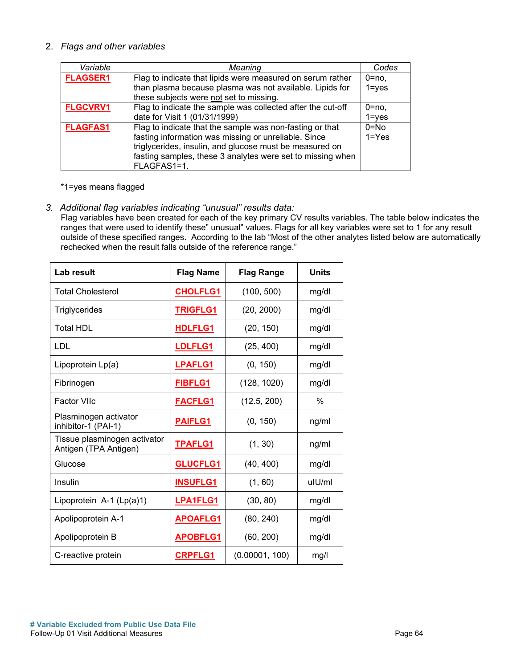### 2. *Flags and other variables*

| Variable        | Meaning                                                                                                                                                                                                                                                  | Codes                   |
|-----------------|----------------------------------------------------------------------------------------------------------------------------------------------------------------------------------------------------------------------------------------------------------|-------------------------|
| <b>FLAGSER1</b> | Flag to indicate that lipids were measured on serum rather<br>than plasma because plasma was not available. Lipids for<br>these subjects were not set to missing.                                                                                        | $0 = no$ ,<br>$1 = yes$ |
| <b>FLGCVRV1</b> | Flag to indicate the sample was collected after the cut-off<br>date for Visit 1 (01/31/1999)                                                                                                                                                             | $0 = no$ ,<br>$1 = ves$ |
| <b>FLAGFAS1</b> | Flag to indicate that the sample was non-fasting or that<br>fasting information was missing or unreliable. Since<br>triglycerides, insulin, and glucose must be measured on<br>fasting samples, these 3 analytes were set to missing when<br>FLAGFAS1=1. | $0 = No$<br>$1 = Yes$   |

\*1=yes means flagged

### *3. Additional flag variables indicating "unusual" results data:*

Flag variables have been created for each of the key primary CV results variables. The table below indicates the ranges that were used to identify these" unusual" values. Flags for all key variables were set to 1 for any result outside of these specified ranges. According to the lab "Most of the other analytes listed below are automatically rechecked when the result falls outside of the reference range."

| Lab result                                            | <b>Flag Name</b> | <b>Flag Range</b> | <b>Units</b> |
|-------------------------------------------------------|------------------|-------------------|--------------|
| <b>Total Cholesterol</b>                              | <b>CHOLFLG1</b>  | (100, 500)        | mg/dl        |
| Triglycerides                                         | <b>TRIGFLG1</b>  | (20, 2000)        | mg/dl        |
| Total HDL                                             | <b>HDLFLG1</b>   | (20, 150)         | mg/dl        |
| LDL                                                   | LDLFLG1          | (25, 400)         | mg/dl        |
| Lipoprotein Lp(a)                                     | <b>LPAFLG1</b>   | (0, 150)          | mg/dl        |
| Fibrinogen                                            | <b>FIBFLG1</b>   | (128, 1020)       | mg/dl        |
| <b>Factor VIIc</b>                                    | <b>FACFLG1</b>   | (12.5, 200)       | $\%$         |
| Plasminogen activator<br>inhibitor-1 (PAI-1)          | <b>PAIFLG1</b>   | (0, 150)          | ng/ml        |
| Tissue plasminogen activator<br>Antigen (TPA Antigen) | <b>TPAFLG1</b>   | (1, 30)           | ng/ml        |
| Glucose                                               | GLUCFLG1         | (40, 400)         | mg/dl        |
| Insulin                                               | <b>INSUFLG1</b>  | (1, 60)           | ullJ/ml      |
| Lipoprotein A-1 (Lp(a)1)                              | LPA1FLG1         | (30, 80)          | mg/dl        |
| Apolipoprotein A-1                                    | <b>APOAFLG1</b>  | (80, 240)         | mg/dl        |
| Apolipoprotein B                                      | <b>APOBFLG1</b>  | (60, 200)         | mg/dl        |
| C-reactive protein                                    | <b>CRPFLG1</b>   | (0.00001, 100)    | mg/l         |